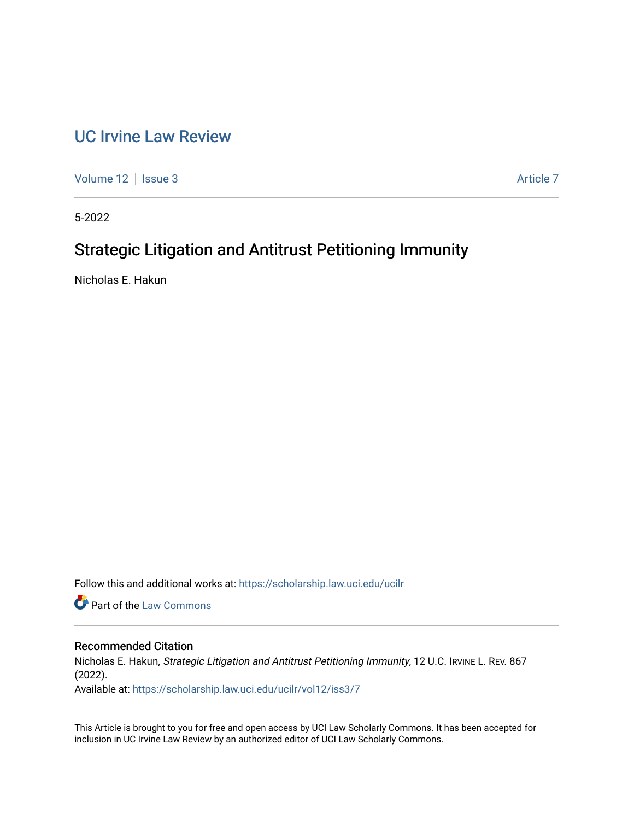# [UC Irvine Law Review](https://scholarship.law.uci.edu/ucilr)

[Volume 12](https://scholarship.law.uci.edu/ucilr/vol12) | [Issue 3](https://scholarship.law.uci.edu/ucilr/vol12/iss3) Article 7

5-2022

# Strategic Litigation and Antitrust Petitioning Immunity

Nicholas E. Hakun

Follow this and additional works at: [https://scholarship.law.uci.edu/ucilr](https://scholarship.law.uci.edu/ucilr?utm_source=scholarship.law.uci.edu%2Fucilr%2Fvol12%2Fiss3%2F7&utm_medium=PDF&utm_campaign=PDFCoverPages)

**C** Part of the [Law Commons](https://network.bepress.com/hgg/discipline/578?utm_source=scholarship.law.uci.edu%2Fucilr%2Fvol12%2Fiss3%2F7&utm_medium=PDF&utm_campaign=PDFCoverPages)

# Recommended Citation

Nicholas E. Hakun, Strategic Litigation and Antitrust Petitioning Immunity, 12 U.C. IRVINE L. REV. 867 (2022).

Available at: [https://scholarship.law.uci.edu/ucilr/vol12/iss3/7](https://scholarship.law.uci.edu/ucilr/vol12/iss3/7?utm_source=scholarship.law.uci.edu%2Fucilr%2Fvol12%2Fiss3%2F7&utm_medium=PDF&utm_campaign=PDFCoverPages) 

This Article is brought to you for free and open access by UCI Law Scholarly Commons. It has been accepted for inclusion in UC Irvine Law Review by an authorized editor of UCI Law Scholarly Commons.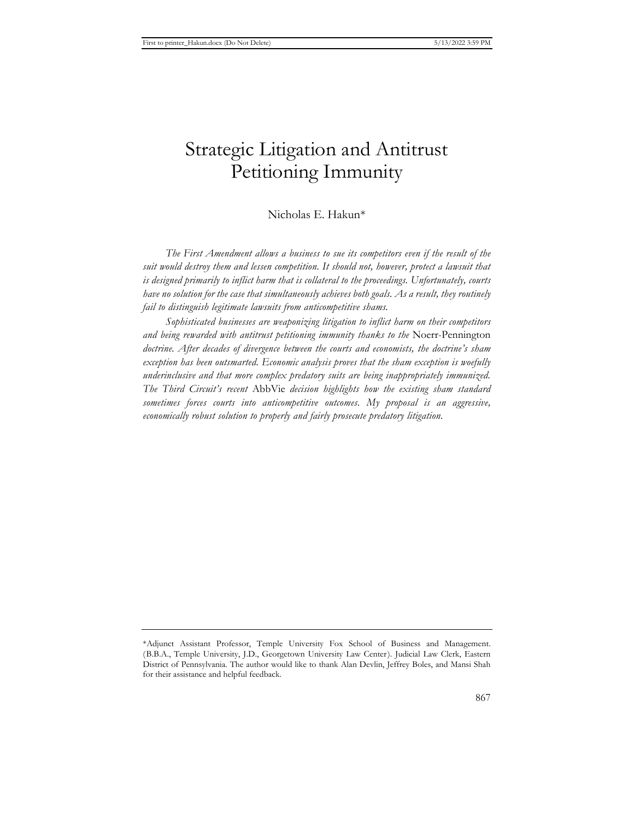# Strategic Litigation and Antitrust Petitioning Immunity

# Nicholas E. Hakun\*

*The First Amendment allows a business to sue its competitors even if the result of the suit would destroy them and lessen competition. It should not, however, protect a lawsuit that is designed primarily to inflict harm that is collateral to the proceedings. Unfortunately, courts have no solution for the case that simultaneously achieves both goals. As a result, they routinely fail to distinguish legitimate lawsuits from anticompetitive shams.*

*Sophisticated businesses are weaponizing litigation to inflict harm on their competitors and being rewarded with antitrust petitioning immunity thanks to the* Noerr-Pennington *doctrine. After decades of divergence between the courts and economists, the doctrine's sham exception has been outsmarted. Economic analysis proves that the sham exception is woefully underinclusive and that more complex predatory suits are being inappropriately immunized. The Third Circuit's recent* AbbVie *decision highlights how the existing sham standard sometimes forces courts into anticompetitive outcomes. My proposal is an aggressive, economically robust solution to properly and fairly prosecute predatory litigation.*

<sup>\*</sup>Adjunct Assistant Professor, Temple University Fox School of Business and Management. (B.B.A., Temple University, J.D., Georgetown University Law Center). Judicial Law Clerk, Eastern District of Pennsylvania. The author would like to thank Alan Devlin, Jeffrey Boles, and Mansi Shah for their assistance and helpful feedback.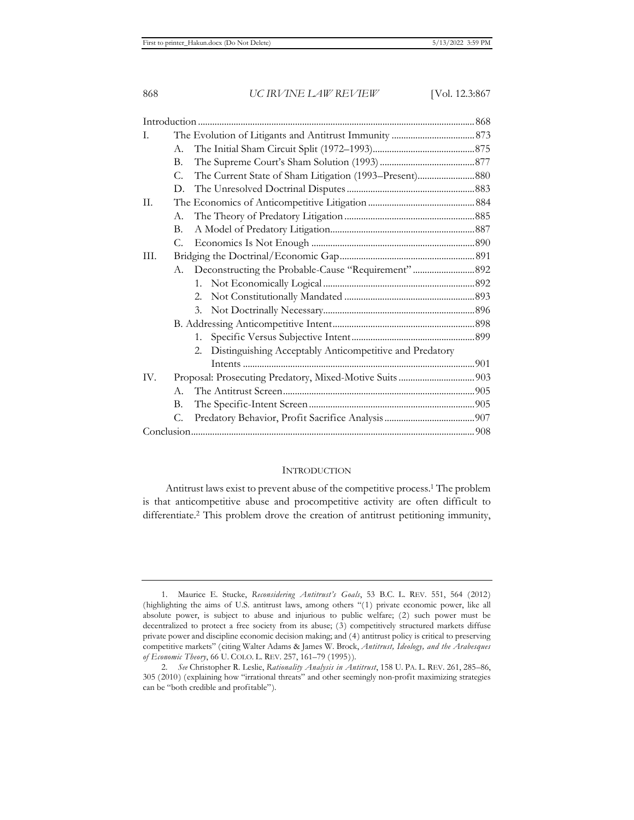| I.   |                                                               |  |
|------|---------------------------------------------------------------|--|
|      | A.                                                            |  |
|      | В.                                                            |  |
|      | $C_{\cdot}$                                                   |  |
|      | D.                                                            |  |
| II.  |                                                               |  |
|      | А.                                                            |  |
|      | B.                                                            |  |
|      | С.                                                            |  |
| III. |                                                               |  |
|      | Deconstructing the Probable-Cause "Requirement"  892<br>А.    |  |
|      |                                                               |  |
|      | 2.                                                            |  |
|      | 3.                                                            |  |
|      |                                                               |  |
|      | 1.                                                            |  |
|      | Distinguishing Acceptably Anticompetitive and Predatory<br>2. |  |
|      |                                                               |  |
| IV.  |                                                               |  |
|      | A.                                                            |  |
|      | В.                                                            |  |
|      | C.                                                            |  |
|      |                                                               |  |

# **INTRODUCTION**

Antitrust laws exist to prevent abuse of the competitive process.1 The problem is that anticompetitive abuse and procompetitive activity are often difficult to differentiate.<sup>2</sup> This problem drove the creation of antitrust petitioning immunity,

<sup>1.</sup> Maurice E. Stucke, *Reconsidering Antitrust's Goals*, 53 B.C. L. REV. 551, 564 (2012) (highlighting the aims of U.S. antitrust laws, among others "(1) private economic power, like all absolute power, is subject to abuse and injurious to public welfare; (2) such power must be decentralized to protect a free society from its abuse; (3) competitively structured markets diffuse private power and discipline economic decision making; and (4) antitrust policy is critical to preserving competitive markets" (citing Walter Adams & James W. Brock, *Antitrust, Ideology, and the Arabesques of Economic Theory*, 66 U. COLO. L. REV. 257, 161–79 (1995)).

<sup>2.</sup> *See* Christopher R. Leslie, *Rationality Analysis in Antitrust*, 158 U. PA. L. REV. 261, 285–86, 305 (2010) (explaining how "irrational threats" and other seemingly non-profit maximizing strategies can be "both credible and profitable").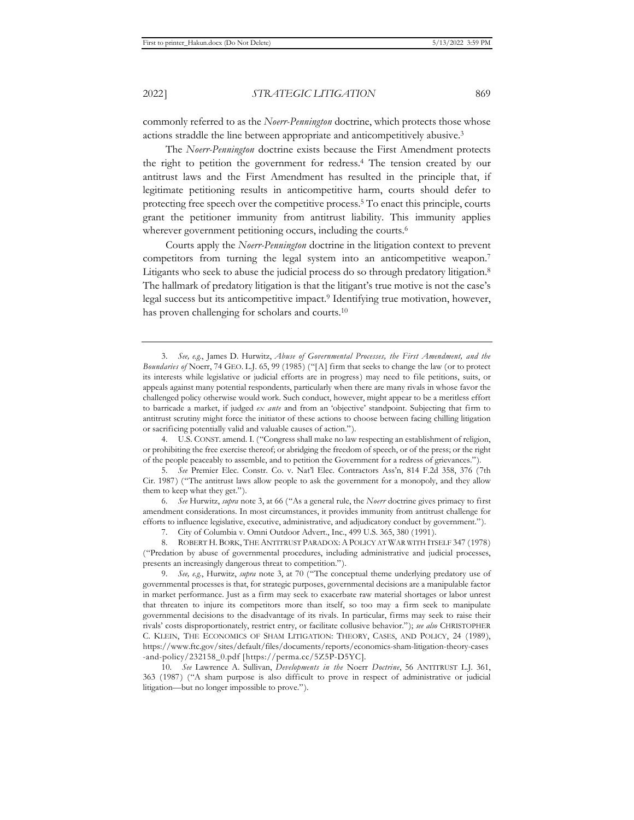commonly referred to as the *Noerr-Pennington* doctrine, which protects those whose actions straddle the line between appropriate and anticompetitively abusive.3

The *Noerr-Pennington* doctrine exists because the First Amendment protects the right to petition the government for redress.4 The tension created by our antitrust laws and the First Amendment has resulted in the principle that, if legitimate petitioning results in anticompetitive harm, courts should defer to protecting free speech over the competitive process.5 To enact this principle, courts grant the petitioner immunity from antitrust liability. This immunity applies wherever government petitioning occurs, including the courts.<sup>6</sup>

Courts apply the *Noerr-Pennington* doctrine in the litigation context to prevent competitors from turning the legal system into an anticompetitive weapon.7 Litigants who seek to abuse the judicial process do so through predatory litigation.8 The hallmark of predatory litigation is that the litigant's true motive is not the case's legal success but its anticompetitive impact.9 Identifying true motivation, however, has proven challenging for scholars and courts.10

6. *See* Hurwitz, *supra* note 3, at 66 ("As a general rule, the *Noerr* doctrine gives primacy to first amendment considerations. In most circumstances, it provides immunity from antitrust challenge for efforts to influence legislative, executive, administrative, and adjudicatory conduct by government.").

7. City of Columbia v. Omni Outdoor Advert., Inc., 499 U.S. 365, 380 (1991).

8. ROBERT H. BORK, THE ANTITRUST PARADOX: A POLICY AT WAR WITH ITSELF 347 (1978) ("Predation by abuse of governmental procedures, including administrative and judicial processes, presents an increasingly dangerous threat to competition.").

<sup>3.</sup> *See, e.g.*, James D. Hurwitz, *Abuse of Governmental Processes, the First Amendment, and the Boundaries of* Noerr, 74 GEO. L.J. 65, 99 (1985) ("[A] firm that seeks to change the law (or to protect its interests while legislative or judicial efforts are in progress) may need to file petitions, suits, or appeals against many potential respondents, particularly when there are many rivals in whose favor the challenged policy otherwise would work. Such conduct, however, might appear to be a meritless effort to barricade a market, if judged *ex ante* and from an 'objective' standpoint. Subjecting that firm to antitrust scrutiny might force the initiator of these actions to choose between facing chilling litigation or sacrificing potentially valid and valuable causes of action.").

<sup>4.</sup> U.S. CONST. amend. I. ("Congress shall make no law respecting an establishment of religion, or prohibiting the free exercise thereof; or abridging the freedom of speech, or of the press; or the right of the people peaceably to assemble, and to petition the Government for a redress of grievances.").

<sup>5.</sup> *See* Premier Elec. Constr. Co. v. Nat'l Elec. Contractors Ass'n, 814 F.2d 358, 376 (7th Cir. 1987) ("The antitrust laws allow people to ask the government for a monopoly, and they allow them to keep what they get.").

<sup>9.</sup> *See, e.g.*, Hurwitz, *supra* note 3, at 70 ("The conceptual theme underlying predatory use of governmental processes is that, for strategic purposes, governmental decisions are a manipulable factor in market performance. Just as a firm may seek to exacerbate raw material shortages or labor unrest that threaten to injure its competitors more than itself, so too may a firm seek to manipulate governmental decisions to the disadvantage of its rivals. In particular, firms may seek to raise their rivals' costs disproportionately, restrict entry, or facilitate collusive behavior."); *see also* CHRISTOPHER C. KLEIN, THE ECONOMICS OF SHAM LITIGATION: THEORY, CASES, AND POLICY, 24 (1989), https://www.ftc.gov/sites/default/files/documents/reports/economics-sham-litigation-theory-cases -and-policy/232158\_0.pdf [https://perma.cc/5Z5P-D5YC].

<sup>10.</sup> *See* Lawrence A. Sullivan, *Developments in the* Noerr *Doctrine*, 56 ANTITRUST L.J. 361, 363 (1987) ("A sham purpose is also difficult to prove in respect of administrative or judicial litigation—but no longer impossible to prove.").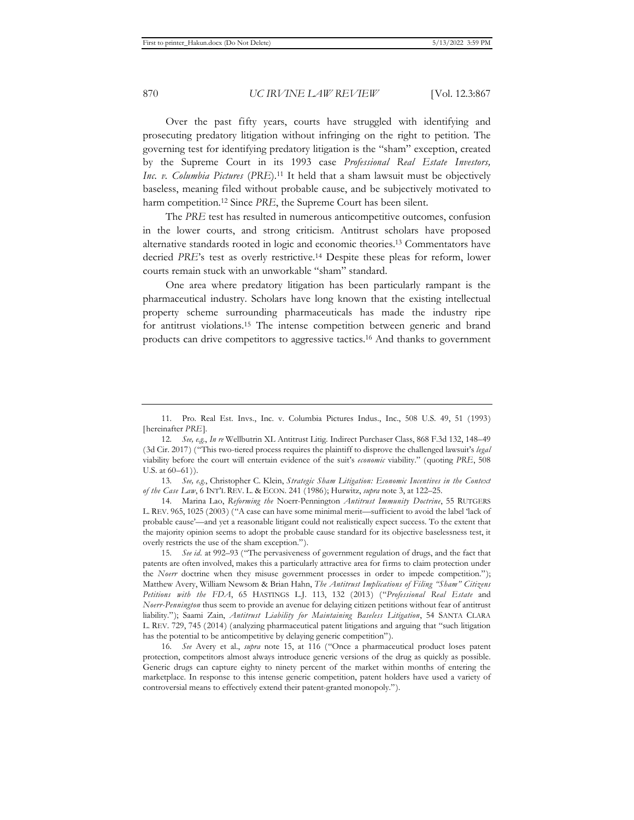Over the past fifty years, courts have struggled with identifying and prosecuting predatory litigation without infringing on the right to petition. The governing test for identifying predatory litigation is the "sham" exception, created by the Supreme Court in its 1993 case *Professional Real Estate Investors, Inc. v. Columbia Pictures (PRE*).<sup>11</sup> It held that a sham lawsuit must be objectively baseless, meaning filed without probable cause, and be subjectively motivated to harm competition.<sup>12</sup> Since *PRE*, the Supreme Court has been silent.

The *PRE* test has resulted in numerous anticompetitive outcomes, confusion in the lower courts, and strong criticism. Antitrust scholars have proposed alternative standards rooted in logic and economic theories.13 Commentators have decried *PRE*'s test as overly restrictive.14 Despite these pleas for reform, lower courts remain stuck with an unworkable "sham" standard.

One area where predatory litigation has been particularly rampant is the pharmaceutical industry. Scholars have long known that the existing intellectual property scheme surrounding pharmaceuticals has made the industry ripe for antitrust violations.15 The intense competition between generic and brand products can drive competitors to aggressive tactics.16 And thanks to government

<sup>11.</sup> Pro. Real Est. Invs., Inc. v. Columbia Pictures Indus., Inc., 508 U.S. 49, 51 (1993) [hereinafter *PRE*].

<sup>12.</sup> *See, e.g.*, *In re* Wellbutrin XL Antitrust Litig. Indirect Purchaser Class, 868 F.3d 132, 148–49 (3d Cir. 2017) ("This two-tiered process requires the plaintiff to disprove the challenged lawsuit's *legal*  viability before the court will entertain evidence of the suit's *economic* viability." (quoting *PRE*, 508 U.S. at 60–61)).

<sup>13.</sup> *See, e.g.*, Christopher C. Klein, *Strategic Sham Litigation: Economic Incentives in the Context of the Case Law*, 6 INT'L REV. L. & ECON. 241 (1986); Hurwitz, *supra* note 3, at 122–25.

<sup>14.</sup> Marina Lao, *Reforming the* Noerr-Pennington *Antitrust Immunity Doctrine*, 55 RUTGERS L. REV. 965, 1025 (2003) ("A case can have some minimal merit—sufficient to avoid the label 'lack of probable cause'—and yet a reasonable litigant could not realistically expect success. To the extent that the majority opinion seems to adopt the probable cause standard for its objective baselessness test, it overly restricts the use of the sham exception.").

<sup>15.</sup> *See id.* at 992–93 ("The pervasiveness of government regulation of drugs, and the fact that patents are often involved, makes this a particularly attractive area for firms to claim protection under the *Noerr* doctrine when they misuse government processes in order to impede competition."); Matthew Avery, William Newsom & Brian Hahn, *The Antitrust Implications of Filing "Sham" Citizens Petitions with the FDA*, 65 HASTINGS L.J. 113, 132 (2013) ("*Professional Real Estate* and *Noerr-Pennington* thus seem to provide an avenue for delaying citizen petitions without fear of antitrust liability."); Saami Zain, *Antitrust Liability for Maintaining Baseless Litigation*, 54 SANTA CLARA L. REV. 729, 745 (2014) (analyzing pharmaceutical patent litigations and arguing that "such litigation has the potential to be anticompetitive by delaying generic competition").

<sup>16.</sup> *See* Avery et al., *supra* note 15, at 116 ("Once a pharmaceutical product loses patent protection, competitors almost always introduce generic versions of the drug as quickly as possible. Generic drugs can capture eighty to ninety percent of the market within months of entering the marketplace. In response to this intense generic competition, patent holders have used a variety of controversial means to effectively extend their patent-granted monopoly.").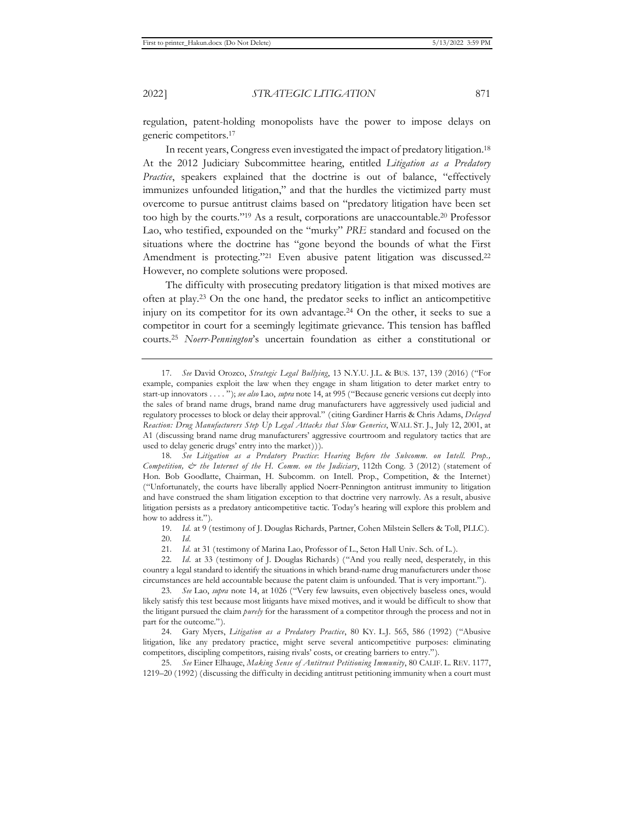regulation, patent-holding monopolists have the power to impose delays on generic competitors.17

In recent years, Congress even investigated the impact of predatory litigation.18 At the 2012 Judiciary Subcommittee hearing, entitled *Litigation as a Predatory Practice*, speakers explained that the doctrine is out of balance, "effectively immunizes unfounded litigation," and that the hurdles the victimized party must overcome to pursue antitrust claims based on "predatory litigation have been set too high by the courts."19 As a result, corporations are unaccountable.20 Professor Lao, who testified, expounded on the "murky" *PRE* standard and focused on the situations where the doctrine has "gone beyond the bounds of what the First Amendment is protecting."<sup>21</sup> Even abusive patent litigation was discussed.<sup>22</sup> However, no complete solutions were proposed.

The difficulty with prosecuting predatory litigation is that mixed motives are often at play.23 On the one hand, the predator seeks to inflict an anticompetitive injury on its competitor for its own advantage.24 On the other, it seeks to sue a competitor in court for a seemingly legitimate grievance. This tension has baffled courts.25 *Noerr-Pennington*'s uncertain foundation as either a constitutional or

18. *See Litigation as a Predatory Practice*: *Hearing Before the Subcomm. on Intell. Prop., Competition, & the Internet of the H. Comm. on the Judiciary*, 112th Cong. 3 (2012) (statement of Hon. Bob Goodlatte, Chairman, H. Subcomm. on Intell. Prop., Competition, & the Internet) ("Unfortunately, the courts have liberally applied Noerr-Pennington antitrust immunity to litigation and have construed the sham litigation exception to that doctrine very narrowly. As a result, abusive litigation persists as a predatory anticompetitive tactic. Today's hearing will explore this problem and how to address it.").

19. *Id.* at 9 (testimony of J. Douglas Richards, Partner, Cohen Milstein Sellers & Toll, PLLC). 20. *Id.*

21. *Id.* at 31 (testimony of Marina Lao, Professor of L., Seton Hall Univ. Sch. of L.).

22. *Id.* at 33 (testimony of J. Douglas Richards) ("And you really need, desperately, in this country a legal standard to identify the situations in which brand-name drug manufacturers under those circumstances are held accountable because the patent claim is unfounded. That is very important.").

23. *See* Lao, *supra* note 14, at 1026 ("Very few lawsuits, even objectively baseless ones, would likely satisfy this test because most litigants have mixed motives, and it would be difficult to show that the litigant pursued the claim *purely* for the harassment of a competitor through the process and not in part for the outcome.").

24. Gary Myers, *Litigation as a Predatory Practice*, 80 KY. L.J. 565, 586 (1992) ("Abusive litigation, like any predatory practice, might serve several anticompetitive purposes: eliminating competitors, discipling competitors, raising rivals' costs, or creating barriers to entry.").

25. *See* Einer Elhauge, *Making Sense of Antitrust Petitioning Immunity*, 80 CALIF. L. REV. 1177, 1219–20 (1992) (discussing the difficulty in deciding antitrust petitioning immunity when a court must

<sup>17.</sup> *See* David Orozco, *Strategic Legal Bullying*, 13 N.Y.U. J.L. & BUS. 137, 139 (2016) ("For example, companies exploit the law when they engage in sham litigation to deter market entry to start-up innovators . . . . "); *see also* Lao, *supra* note 14, at 995 ("Because generic versions cut deeply into the sales of brand name drugs, brand name drug manufacturers have aggressively used judicial and regulatory processes to block or delay their approval." (citing Gardiner Harris & Chris Adams, *Delayed Reaction: Drug Manufacturers Step Up Legal Attacks that Slow Generics*, WALL ST. J., July 12, 2001, at A1 (discussing brand name drug manufacturers' aggressive courtroom and regulatory tactics that are used to delay generic drugs' entry into the market))).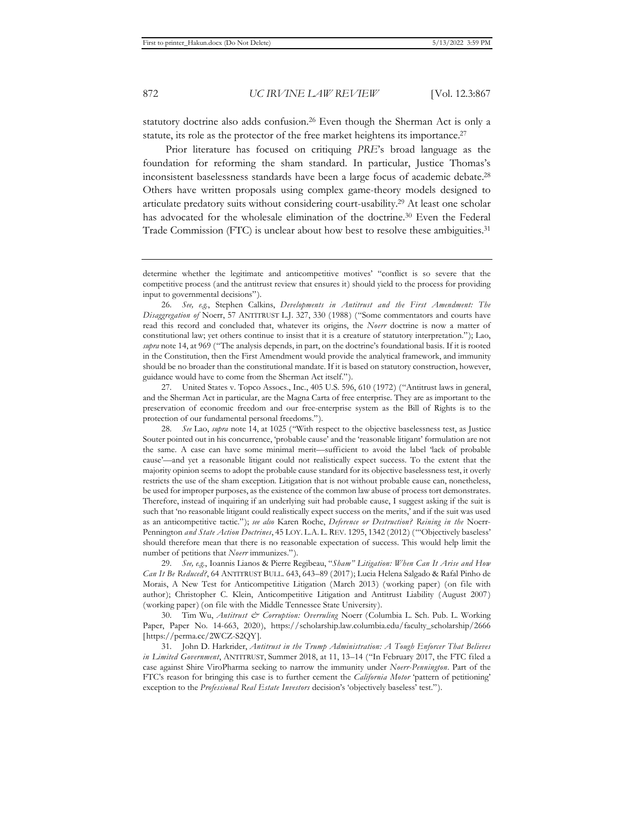statutory doctrine also adds confusion.26 Even though the Sherman Act is only a statute, its role as the protector of the free market heightens its importance.<sup>27</sup>

Prior literature has focused on critiquing *PRE*'s broad language as the foundation for reforming the sham standard. In particular, Justice Thomas's inconsistent baselessness standards have been a large focus of academic debate.28 Others have written proposals using complex game-theory models designed to articulate predatory suits without considering court-usability.29 At least one scholar has advocated for the wholesale elimination of the doctrine.<sup>30</sup> Even the Federal Trade Commission (FTC) is unclear about how best to resolve these ambiguities.31

determine whether the legitimate and anticompetitive motives' "conflict is so severe that the competitive process (and the antitrust review that ensures it) should yield to the process for providing input to governmental decisions").

26. *See, e.g.*, Stephen Calkins, *Developments in Antitrust and the First Amendment: The Disaggregation of* Noerr, 57 ANTITRUST L.J. 327, 330 (1988) ("Some commentators and courts have read this record and concluded that, whatever its origins, the *Noerr* doctrine is now a matter of constitutional law; yet others continue to insist that it is a creature of statutory interpretation."); Lao, *supra* note 14, at 969 ("The analysis depends, in part, on the doctrine's foundational basis. If it is rooted in the Constitution, then the First Amendment would provide the analytical framework, and immunity should be no broader than the constitutional mandate. If it is based on statutory construction, however, guidance would have to come from the Sherman Act itself.").

27. United States v. Topco Assocs., Inc., 405 U.S. 596, 610 (1972) ("Antitrust laws in general, and the Sherman Act in particular, are the Magna Carta of free enterprise. They are as important to the preservation of economic freedom and our free-enterprise system as the Bill of Rights is to the protection of our fundamental personal freedoms.").

29. *See, e.g.*, Ioannis Lianos & Pierre Regibeau, "*Sham" Litigation: When Can It Arise and How Can It Be Reduced?*, 64 ANTITRUST BULL. 643, 643–89 (2017); Lucia Helena Salgado & Rafal Pinho de Morais, A New Test for Anticompetitive Litigation (March 2013) (working paper) (on file with author); Christopher C. Klein, Anticompetitive Litigation and Antitrust Liability (August 2007) (working paper) (on file with the Middle Tennessee State University).

30. Tim Wu, *Antitrust & Corruption: Overruling* Noerr (Columbia L. Sch. Pub. L. Working Paper, Paper No. 14-663, 2020), https://scholarship.law.columbia.edu/faculty\_scholarship/2666 [https://perma.cc/2WCZ-S2OY].

31. John D. Harkrider, *Antitrust in the Trump Administration: A Tough Enforcer That Believes in Limited Government*, ANTITRUST, Summer 2018, at 11, 13–14 ("In February 2017, the FTC filed a case against Shire ViroPharma seeking to narrow the immunity under *Noerr-Pennington*. Part of the FTC's reason for bringing this case is to further cement the *California Motor* 'pattern of petitioning' exception to the *Professional Real Estate Investors* decision's 'objectively baseless' test.").

<sup>28.</sup> *See* Lao, *supra* note 14, at 1025 ("With respect to the objective baselessness test, as Justice Souter pointed out in his concurrence, 'probable cause' and the 'reasonable litigant' formulation are not the same. A case can have some minimal merit—sufficient to avoid the label 'lack of probable cause'—and yet a reasonable litigant could not realistically expect success. To the extent that the majority opinion seems to adopt the probable cause standard for its objective baselessness test, it overly restricts the use of the sham exception. Litigation that is not without probable cause can, nonetheless, be used for improper purposes, as the existence of the common law abuse of process tort demonstrates. Therefore, instead of inquiring if an underlying suit had probable cause, I suggest asking if the suit is such that 'no reasonable litigant could realistically expect success on the merits,' and if the suit was used as an anticompetitive tactic."); *see also* Karen Roche, *Deference or Destruction? Reining in the* Noerr-Pennington *and State Action Doctrines*, 45 LOY. L.A. L. REV. 1295, 1342 (2012) ("'Objectively baseless' should therefore mean that there is no reasonable expectation of success. This would help limit the number of petitions that *Noerr* immunizes.").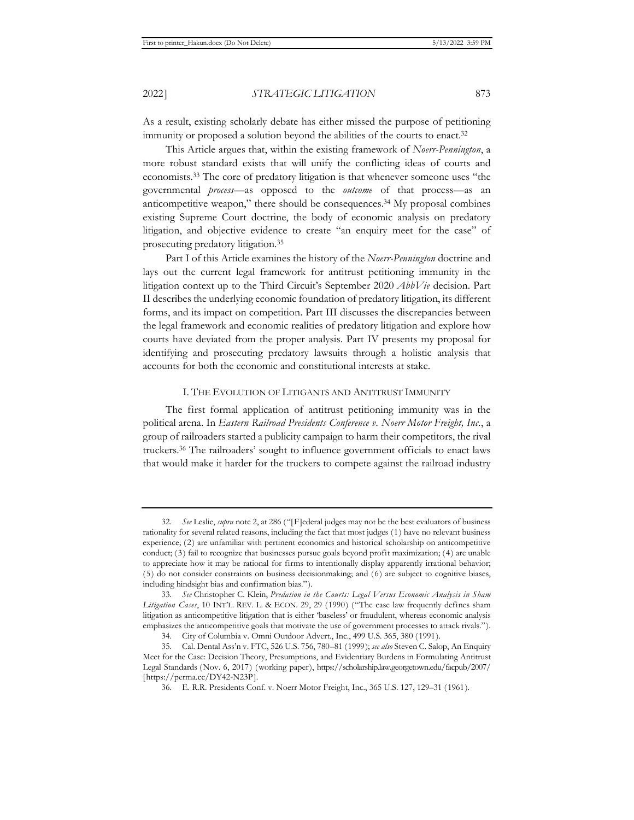As a result, existing scholarly debate has either missed the purpose of petitioning immunity or proposed a solution beyond the abilities of the courts to enact.<sup>32</sup>

This Article argues that, within the existing framework of *Noerr-Pennington*, a more robust standard exists that will unify the conflicting ideas of courts and economists.33 The core of predatory litigation is that whenever someone uses "the governmental *process*—as opposed to the *outcome* of that process—as an anticompetitive weapon," there should be consequences.34 My proposal combines existing Supreme Court doctrine, the body of economic analysis on predatory litigation, and objective evidence to create "an enquiry meet for the case" of prosecuting predatory litigation.35

Part I of this Article examines the history of the *Noerr-Pennington* doctrine and lays out the current legal framework for antitrust petitioning immunity in the litigation context up to the Third Circuit's September 2020 *AbbVie* decision. Part II describes the underlying economic foundation of predatory litigation, its different forms, and its impact on competition. Part III discusses the discrepancies between the legal framework and economic realities of predatory litigation and explore how courts have deviated from the proper analysis. Part IV presents my proposal for identifying and prosecuting predatory lawsuits through a holistic analysis that accounts for both the economic and constitutional interests at stake.

# I. THE EVOLUTION OF LITIGANTS AND ANTITRUST IMMUNITY

The first formal application of antitrust petitioning immunity was in the political arena. In *Eastern Railroad Presidents Conference v. Noerr Motor Freight, Inc.*, a group of railroaders started a publicity campaign to harm their competitors, the rival truckers.36 The railroaders' sought to influence government officials to enact laws that would make it harder for the truckers to compete against the railroad industry

<sup>32.</sup> *See* Leslie, *supra* note 2, at 286 ("[F]ederal judges may not be the best evaluators of business rationality for several related reasons, including the fact that most judges (1) have no relevant business experience; (2) are unfamiliar with pertinent economics and historical scholarship on anticompetitive conduct; (3) fail to recognize that businesses pursue goals beyond profit maximization; (4) are unable to appreciate how it may be rational for firms to intentionally display apparently irrational behavior; (5) do not consider constraints on business decisionmaking; and (6) are subject to cognitive biases, including hindsight bias and confirmation bias.").

<sup>33.</sup> *See* Christopher C. Klein, *Predation in the Courts: Legal Versus Economic Analysis in Sham Litigation Cases*, 10 INT'L. REV. L. & ECON. 29, 29 (1990) ("The case law frequently defines sham litigation as anticompetitive litigation that is either 'baseless' or fraudulent, whereas economic analysis emphasizes the anticompetitive goals that motivate the use of government processes to attack rivals."). 34. City of Columbia v. Omni Outdoor Advert., Inc., 499 U.S. 365, 380 (1991).

<sup>35.</sup> Cal. Dental Ass'n v. FTC, 526 U.S. 756, 780–81 (1999); *see also* Steven C. Salop, An Enquiry Meet for the Case: Decision Theory, Presumptions, and Evidentiary Burdens in Formulating Antitrust Legal Standards (Nov. 6, 2017) (working paper), https://scholarship.law.georgetown.edu/facpub/2007/ [https://perma.cc/DY42-N23P].

<sup>36.</sup> E. R.R. Presidents Conf. v. Noerr Motor Freight, Inc., 365 U.S. 127, 129–31 (1961).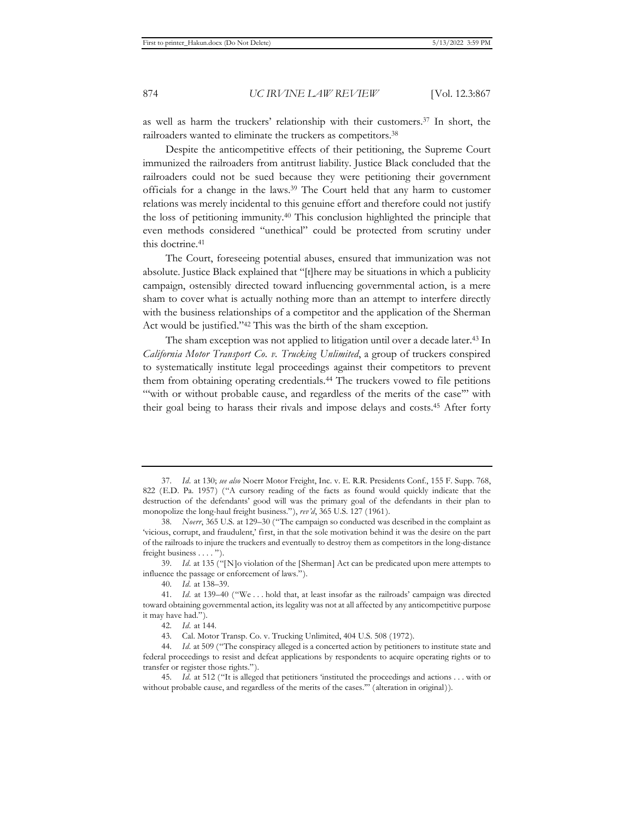as well as harm the truckers' relationship with their customers.37 In short, the railroaders wanted to eliminate the truckers as competitors.<sup>38</sup>

Despite the anticompetitive effects of their petitioning, the Supreme Court immunized the railroaders from antitrust liability. Justice Black concluded that the railroaders could not be sued because they were petitioning their government officials for a change in the laws.39 The Court held that any harm to customer relations was merely incidental to this genuine effort and therefore could not justify the loss of petitioning immunity.40 This conclusion highlighted the principle that even methods considered "unethical" could be protected from scrutiny under this doctrine.41

The Court, foreseeing potential abuses, ensured that immunization was not absolute. Justice Black explained that "[t]here may be situations in which a publicity campaign, ostensibly directed toward influencing governmental action, is a mere sham to cover what is actually nothing more than an attempt to interfere directly with the business relationships of a competitor and the application of the Sherman Act would be justified."42 This was the birth of the sham exception.

The sham exception was not applied to litigation until over a decade later.<sup>43</sup> In *California Motor Transport Co. v. Trucking Unlimited*, a group of truckers conspired to systematically institute legal proceedings against their competitors to prevent them from obtaining operating credentials.44 The truckers vowed to file petitions "with or without probable cause, and regardless of the merits of the case" with their goal being to harass their rivals and impose delays and costs.45 After forty

<sup>37.</sup> *Id.* at 130; *see also* Noerr Motor Freight, Inc. v. E. R.R. Presidents Conf., 155 F. Supp. 768, 822 (E.D. Pa. 1957) ("A cursory reading of the facts as found would quickly indicate that the destruction of the defendants' good will was the primary goal of the defendants in their plan to monopolize the long-haul freight business."), *rev'd*, 365 U.S. 127 (1961).

<sup>38.</sup> *Noerr*, 365 U.S. at 129–30 ("The campaign so conducted was described in the complaint as 'vicious, corrupt, and fraudulent,' first, in that the sole motivation behind it was the desire on the part of the railroads to injure the truckers and eventually to destroy them as competitors in the long-distance freight business . . . . ").

<sup>39.</sup> *Id.* at 135 ("[N]o violation of the [Sherman] Act can be predicated upon mere attempts to influence the passage or enforcement of laws.").

<sup>40.</sup> *Id.* at 138–39.

<sup>41.</sup> *Id.* at 139–40 ("We . . . hold that, at least insofar as the railroads' campaign was directed toward obtaining governmental action, its legality was not at all affected by any anticompetitive purpose it may have had.").

<sup>42.</sup> *Id.* at 144.

<sup>43.</sup> Cal. Motor Transp. Co. v. Trucking Unlimited, 404 U.S. 508 (1972).

<sup>44.</sup> *Id.* at 509 ("The conspiracy alleged is a concerted action by petitioners to institute state and federal proceedings to resist and defeat applications by respondents to acquire operating rights or to transfer or register those rights.").

<sup>45.</sup> *Id.* at 512 ("It is alleged that petitioners 'instituted the proceedings and actions . . . with or without probable cause, and regardless of the merits of the cases.'" (alteration in original)).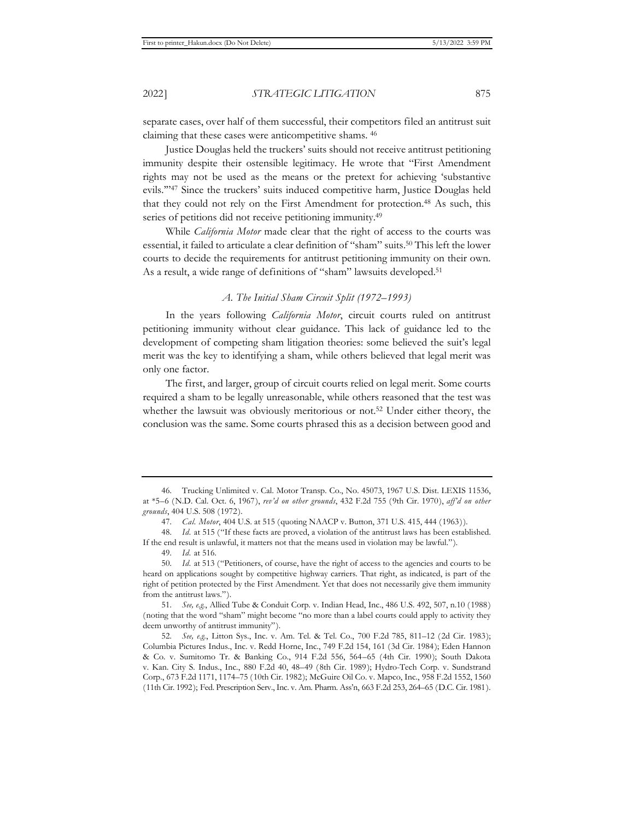separate cases, over half of them successful, their competitors filed an antitrust suit claiming that these cases were anticompetitive shams. 46

Justice Douglas held the truckers' suits should not receive antitrust petitioning immunity despite their ostensible legitimacy. He wrote that "First Amendment rights may not be used as the means or the pretext for achieving 'substantive evils.'"47 Since the truckers' suits induced competitive harm, Justice Douglas held that they could not rely on the First Amendment for protection.<sup>48</sup> As such, this series of petitions did not receive petitioning immunity.<sup>49</sup>

While *California Motor* made clear that the right of access to the courts was essential, it failed to articulate a clear definition of "sham" suits.50 This left the lower courts to decide the requirements for antitrust petitioning immunity on their own. As a result, a wide range of definitions of "sham" lawsuits developed.51

# *A. The Initial Sham Circuit Split (1972–1993)*

In the years following *California Motor*, circuit courts ruled on antitrust petitioning immunity without clear guidance. This lack of guidance led to the development of competing sham litigation theories: some believed the suit's legal merit was the key to identifying a sham, while others believed that legal merit was only one factor.

The first, and larger, group of circuit courts relied on legal merit. Some courts required a sham to be legally unreasonable, while others reasoned that the test was whether the lawsuit was obviously meritorious or not.<sup>52</sup> Under either theory, the conclusion was the same. Some courts phrased this as a decision between good and

<sup>46.</sup> Trucking Unlimited v. Cal. Motor Transp. Co., No. 45073, 1967 U.S. Dist. LEXIS 11536, at \*5–6 (N.D. Cal. Oct. 6, 1967), *rev'd on other grounds*, 432 F.2d 755 (9th Cir. 1970), *aff'd on other grounds*, 404 U.S. 508 (1972).

<sup>47.</sup> *Cal. Motor*, 404 U.S. at 515 (quoting NAACP v. Button, 371 U.S. 415, 444 (1963)).

<sup>48.</sup> *Id.* at 515 ("If these facts are proved, a violation of the antitrust laws has been established. If the end result is unlawful, it matters not that the means used in violation may be lawful.").

<sup>49.</sup> *Id.* at 516.

<sup>50.</sup> *Id.* at 513 ("Petitioners, of course, have the right of access to the agencies and courts to be heard on applications sought by competitive highway carriers. That right, as indicated, is part of the right of petition protected by the First Amendment. Yet that does not necessarily give them immunity from the antitrust laws.").

<sup>51.</sup> *See, e.g.*, Allied Tube & Conduit Corp. v. Indian Head, Inc., 486 U.S. 492, 507, n.10 (1988) (noting that the word "sham" might become "no more than a label courts could apply to activity they deem unworthy of antitrust immunity").

<sup>52.</sup> *See, e.g.*, Litton Sys., Inc. v. Am. Tel. & Tel. Co., 700 F.2d 785, 811–12 (2d Cir. 1983); Columbia Pictures Indus., Inc. v. Redd Horne, Inc., 749 F.2d 154, 161 (3d Cir. 1984); Eden Hannon & Co. v. Sumitomo Tr. & Banking Co., 914 F.2d 556, 564–65 (4th Cir. 1990); South Dakota v. Kan. City S. Indus., Inc., 880 F.2d 40, 48–49 (8th Cir. 1989); Hydro-Tech Corp. v. Sundstrand Corp., 673 F.2d 1171, 1174–75 (10th Cir. 1982); McGuire Oil Co. v. Mapco, Inc., 958 F.2d 1552, 1560 (11th Cir. 1992); Fed. Prescription Serv., Inc. v. Am. Pharm. Ass'n, 663 F.2d 253, 264–65 (D.C. Cir. 1981).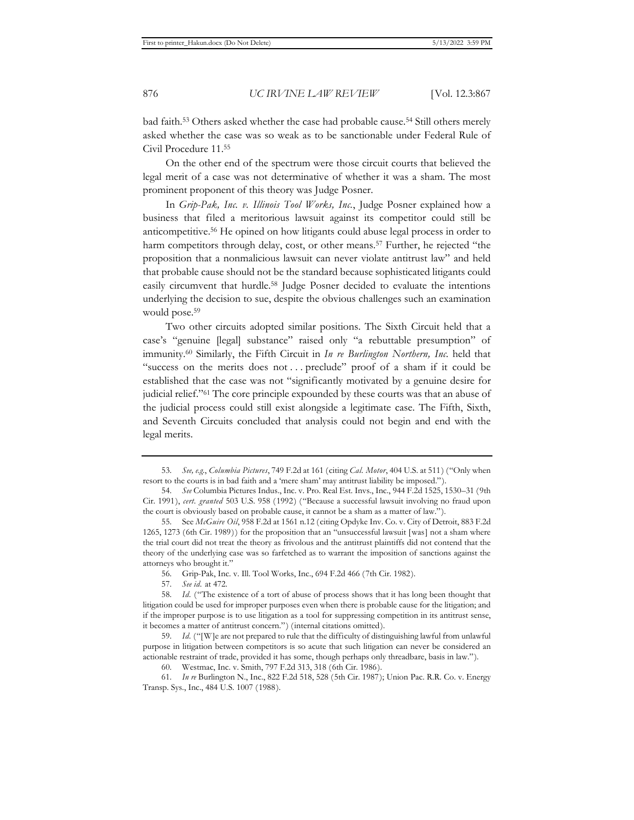bad faith.<sup>53</sup> Others asked whether the case had probable cause.<sup>54</sup> Still others merely asked whether the case was so weak as to be sanctionable under Federal Rule of Civil Procedure 11.55

On the other end of the spectrum were those circuit courts that believed the legal merit of a case was not determinative of whether it was a sham. The most prominent proponent of this theory was Judge Posner.

In *Grip-Pak, Inc. v. Illinois Tool Works, Inc.*, Judge Posner explained how a business that filed a meritorious lawsuit against its competitor could still be anticompetitive.56 He opined on how litigants could abuse legal process in order to harm competitors through delay, cost, or other means.<sup>57</sup> Further, he rejected "the proposition that a nonmalicious lawsuit can never violate antitrust law" and held that probable cause should not be the standard because sophisticated litigants could easily circumvent that hurdle.58 Judge Posner decided to evaluate the intentions underlying the decision to sue, despite the obvious challenges such an examination would pose.59

Two other circuits adopted similar positions. The Sixth Circuit held that a case's "genuine [legal] substance" raised only "a rebuttable presumption" of immunity.60 Similarly, the Fifth Circuit in *In re Burlington Northern, Inc.* held that "success on the merits does not . . . preclude" proof of a sham if it could be established that the case was not "significantly motivated by a genuine desire for judicial relief."61 The core principle expounded by these courts was that an abuse of the judicial process could still exist alongside a legitimate case. The Fifth, Sixth, and Seventh Circuits concluded that analysis could not begin and end with the legal merits.

<sup>53.</sup> *See, e.g.*, *Columbia Pictures*, 749 F.2d at 161 (citing *Cal. Motor*, 404 U.S. at 511) ("Only when resort to the courts is in bad faith and a 'mere sham' may antitrust liability be imposed.")

<sup>54.</sup> *See* Columbia Pictures Indus., Inc. v. Pro. Real Est. Invs., Inc., 944 F.2d 1525, 1530–31 (9th Cir. 1991), *cert. granted* 503 U.S. 958 (1992) ("Because a successful lawsuit involving no fraud upon the court is obviously based on probable cause, it cannot be a sham as a matter of law.").

<sup>55.</sup> See *McGuire Oil*, 958 F.2d at 1561 n.12 (citing Opdyke Inv. Co. v. City of Detroit, 883 F.2d 1265, 1273 (6th Cir. 1989)) for the proposition that an "unsuccessful lawsuit [was] not a sham where the trial court did not treat the theory as frivolous and the antitrust plaintiffs did not contend that the theory of the underlying case was so farfetched as to warrant the imposition of sanctions against the attorneys who brought it."

<sup>56.</sup> Grip-Pak, Inc. v. Ill. Tool Works, Inc., 694 F.2d 466 (7th Cir. 1982).

<sup>57.</sup> *See id.* at 472.

<sup>58.</sup> *Id.* ("The existence of a tort of abuse of process shows that it has long been thought that litigation could be used for improper purposes even when there is probable cause for the litigation; and if the improper purpose is to use litigation as a tool for suppressing competition in its antitrust sense, it becomes a matter of antitrust concern.") (internal citations omitted).

<sup>59.</sup> *Id.* ("[W]e are not prepared to rule that the difficulty of distinguishing lawful from unlawful purpose in litigation between competitors is so acute that such litigation can never be considered an actionable restraint of trade, provided it has some, though perhaps only threadbare, basis in law.").

<sup>60.</sup> Westmac, Inc. v. Smith, 797 F.2d 313, 318 (6th Cir. 1986).

<sup>61.</sup> *In re* Burlington N., Inc., 822 F.2d 518, 528 (5th Cir. 1987); Union Pac. R.R. Co. v. Energy Transp. Sys., Inc., 484 U.S. 1007 (1988).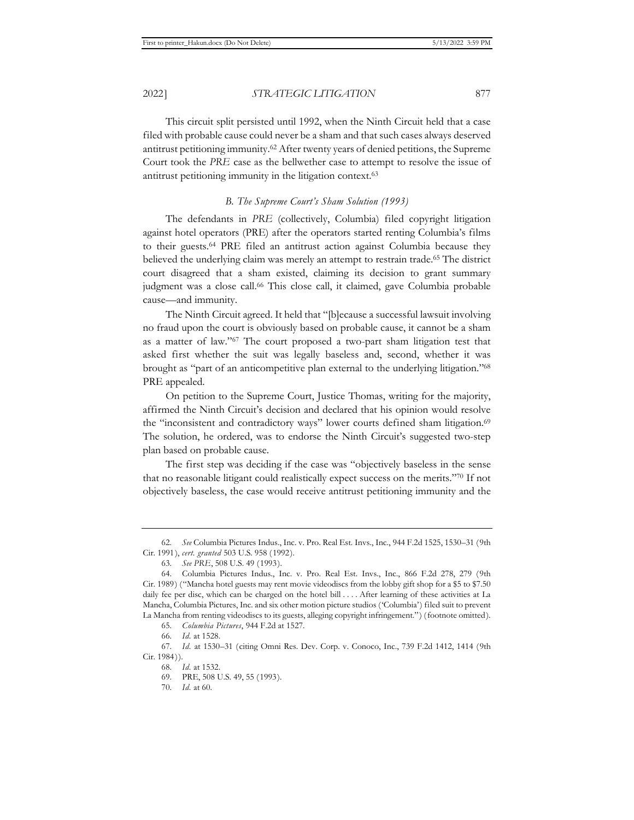This circuit split persisted until 1992, when the Ninth Circuit held that a case filed with probable cause could never be a sham and that such cases always deserved antitrust petitioning immunity.62 After twenty years of denied petitions, the Supreme Court took the *PRE* case as the bellwether case to attempt to resolve the issue of antitrust petitioning immunity in the litigation context.63

#### *B. The Supreme Court's Sham Solution (1993)*

The defendants in *PRE* (collectively, Columbia) filed copyright litigation against hotel operators (PRE) after the operators started renting Columbia's films to their guests.64 PRE filed an antitrust action against Columbia because they believed the underlying claim was merely an attempt to restrain trade.65 The district court disagreed that a sham existed, claiming its decision to grant summary judgment was a close call.<sup>66</sup> This close call, it claimed, gave Columbia probable cause—and immunity.

The Ninth Circuit agreed. It held that "[b]ecause a successful lawsuit involving no fraud upon the court is obviously based on probable cause, it cannot be a sham as a matter of law."67 The court proposed a two-part sham litigation test that asked first whether the suit was legally baseless and, second, whether it was brought as "part of an anticompetitive plan external to the underlying litigation."68 PRE appealed.

On petition to the Supreme Court, Justice Thomas, writing for the majority, affirmed the Ninth Circuit's decision and declared that his opinion would resolve the "inconsistent and contradictory ways" lower courts defined sham litigation.<sup>69</sup> The solution, he ordered, was to endorse the Ninth Circuit's suggested two-step plan based on probable cause.

The first step was deciding if the case was "objectively baseless in the sense that no reasonable litigant could realistically expect success on the merits."70 If not objectively baseless, the case would receive antitrust petitioning immunity and the

<sup>62.</sup> *See* Columbia Pictures Indus., Inc. v. Pro. Real Est. Invs., Inc., 944 F.2d 1525, 1530–31 (9th Cir. 1991), *cert. granted* 503 U.S. 958 (1992).

<sup>63.</sup> *See PRE*, 508 U.S. 49 (1993).

<sup>64.</sup> Columbia Pictures Indus., Inc. v. Pro. Real Est. Invs., Inc., 866 F.2d 278, 279 (9th Cir. 1989) ("Mancha hotel guests may rent movie videodiscs from the lobby gift shop for a \$5 to \$7.50 daily fee per disc, which can be charged on the hotel bill . . . . After learning of these activities at La Mancha, Columbia Pictures, Inc. and six other motion picture studios ('Columbia') filed suit to prevent La Mancha from renting videodiscs to its guests, alleging copyright infringement.") (footnote omitted).

<sup>65.</sup> *Columbia Pictures*, 944 F.2d at 1527.

<sup>66.</sup> *Id.* at 1528.

<sup>67.</sup> *Id.* at 1530–31 (citing Omni Res. Dev. Corp. v. Conoco, Inc., 739 F.2d 1412, 1414 (9th Cir. 1984)).

<sup>68.</sup> *Id.* at 1532.

<sup>69.</sup> PRE, 508 U.S. 49, 55 (1993).

<sup>70.</sup> *Id.* at 60.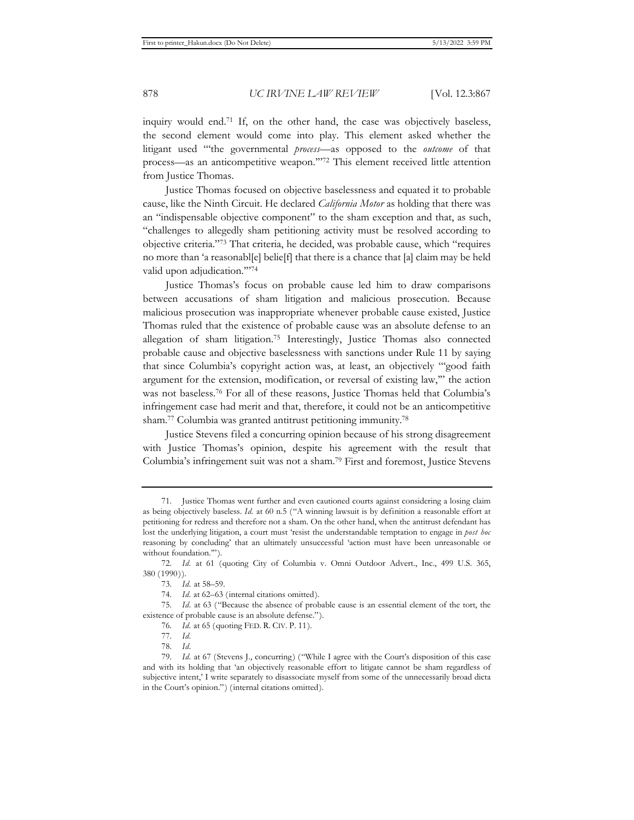inquiry would end.71 If, on the other hand, the case was objectively baseless, the second element would come into play. This element asked whether the litigant used "'the governmental *process*—as opposed to the *outcome* of that process—as an anticompetitive weapon.'"72 This element received little attention from Justice Thomas.

Justice Thomas focused on objective baselessness and equated it to probable cause, like the Ninth Circuit. He declared *California Motor* as holding that there was an "indispensable objective component" to the sham exception and that, as such, "challenges to allegedly sham petitioning activity must be resolved according to objective criteria."73 That criteria, he decided, was probable cause, which "requires no more than 'a reasonabl[e] belie[f] that there is a chance that [a] claim may be held valid upon adjudication.'"74

Justice Thomas's focus on probable cause led him to draw comparisons between accusations of sham litigation and malicious prosecution. Because malicious prosecution was inappropriate whenever probable cause existed, Justice Thomas ruled that the existence of probable cause was an absolute defense to an allegation of sham litigation.75 Interestingly, Justice Thomas also connected probable cause and objective baselessness with sanctions under Rule 11 by saying that since Columbia's copyright action was, at least, an objectively "'good faith argument for the extension, modification, or reversal of existing law,'" the action was not baseless.76 For all of these reasons, Justice Thomas held that Columbia's infringement case had merit and that, therefore, it could not be an anticompetitive sham.77 Columbia was granted antitrust petitioning immunity.78

Justice Stevens filed a concurring opinion because of his strong disagreement with Justice Thomas's opinion, despite his agreement with the result that Columbia's infringement suit was not a sham.79 First and foremost, Justice Stevens

<sup>71.</sup> Justice Thomas went further and even cautioned courts against considering a losing claim as being objectively baseless. *Id.* at 60 n.5 ("A winning lawsuit is by definition a reasonable effort at petitioning for redress and therefore not a sham. On the other hand, when the antitrust defendant has lost the underlying litigation, a court must 'resist the understandable temptation to engage in *post hoc* reasoning by concluding' that an ultimately unsuccessful 'action must have been unreasonable or without foundation.'").

<sup>72.</sup> *Id.* at 61 (quoting City of Columbia v. Omni Outdoor Advert., Inc., 499 U.S. 365, 380 (1990)).

<sup>73.</sup> *Id.* at 58–59.

<sup>74.</sup> *Id.* at 62–63 (internal citations omitted).

<sup>75.</sup> *Id.* at 63 ("Because the absence of probable cause is an essential element of the tort, the existence of probable cause is an absolute defense.").

<sup>76.</sup> *Id.* at 65 (quoting FED. R. CIV. P. 11).

<sup>77.</sup> *Id.*

<sup>78.</sup> *Id.*

<sup>79.</sup> *Id.* at 67 (Stevens J., concurring) ("While I agree with the Court's disposition of this case and with its holding that 'an objectively reasonable effort to litigate cannot be sham regardless of subjective intent,' I write separately to disassociate myself from some of the unnecessarily broad dicta in the Court's opinion.") (internal citations omitted).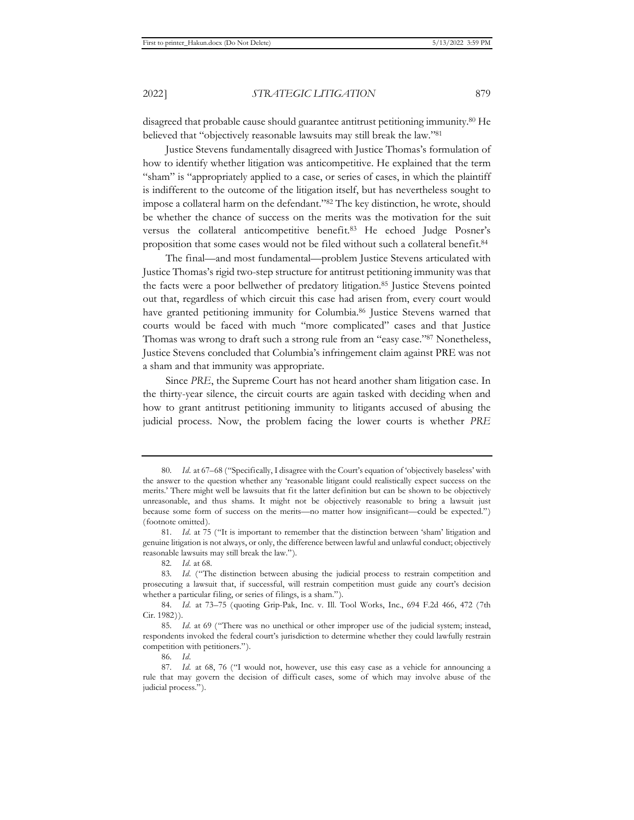disagreed that probable cause should guarantee antitrust petitioning immunity.80 He believed that "objectively reasonable lawsuits may still break the law."81

Justice Stevens fundamentally disagreed with Justice Thomas's formulation of how to identify whether litigation was anticompetitive. He explained that the term "sham" is "appropriately applied to a case, or series of cases, in which the plaintiff is indifferent to the outcome of the litigation itself, but has nevertheless sought to impose a collateral harm on the defendant."82 The key distinction, he wrote, should be whether the chance of success on the merits was the motivation for the suit versus the collateral anticompetitive benefit.83 He echoed Judge Posner's proposition that some cases would not be filed without such a collateral benefit.84

The final—and most fundamental—problem Justice Stevens articulated with Justice Thomas's rigid two-step structure for antitrust petitioning immunity was that the facts were a poor bellwether of predatory litigation.85 Justice Stevens pointed out that, regardless of which circuit this case had arisen from, every court would have granted petitioning immunity for Columbia.<sup>86</sup> Justice Stevens warned that courts would be faced with much "more complicated" cases and that Justice Thomas was wrong to draft such a strong rule from an "easy case."87 Nonetheless, Justice Stevens concluded that Columbia's infringement claim against PRE was not a sham and that immunity was appropriate.

Since *PRE*, the Supreme Court has not heard another sham litigation case. In the thirty-year silence, the circuit courts are again tasked with deciding when and how to grant antitrust petitioning immunity to litigants accused of abusing the judicial process. Now, the problem facing the lower courts is whether *PRE* 

<sup>80.</sup> *Id.* at 67–68 ("Specifically, I disagree with the Court's equation of 'objectively baseless' with the answer to the question whether any 'reasonable litigant could realistically expect success on the merits.' There might well be lawsuits that fit the latter definition but can be shown to be objectively unreasonable, and thus shams. It might not be objectively reasonable to bring a lawsuit just because some form of success on the merits—no matter how insignificant—could be expected.") (footnote omitted).

<sup>81.</sup> *Id.* at 75 ("It is important to remember that the distinction between 'sham' litigation and genuine litigation is not always, or only, the difference between lawful and unlawful conduct; objectively reasonable lawsuits may still break the law.").

<sup>82.</sup> *Id.* at 68.

<sup>83.</sup> *Id.* ("The distinction between abusing the judicial process to restrain competition and prosecuting a lawsuit that, if successful, will restrain competition must guide any court's decision whether a particular filing, or series of filings, is a sham.").

<sup>84.</sup> *Id.* at 73–75 (quoting Grip-Pak, Inc. v. Ill. Tool Works, Inc., 694 F.2d 466, 472 (7th Cir. 1982)).

<sup>85.</sup> *Id.* at 69 ("There was no unethical or other improper use of the judicial system; instead, respondents invoked the federal court's jurisdiction to determine whether they could lawfully restrain competition with petitioners.").

<sup>86.</sup> *Id.*

<sup>87.</sup> *Id.* at 68, 76 ("I would not, however, use this easy case as a vehicle for announcing a rule that may govern the decision of difficult cases, some of which may involve abuse of the judicial process.").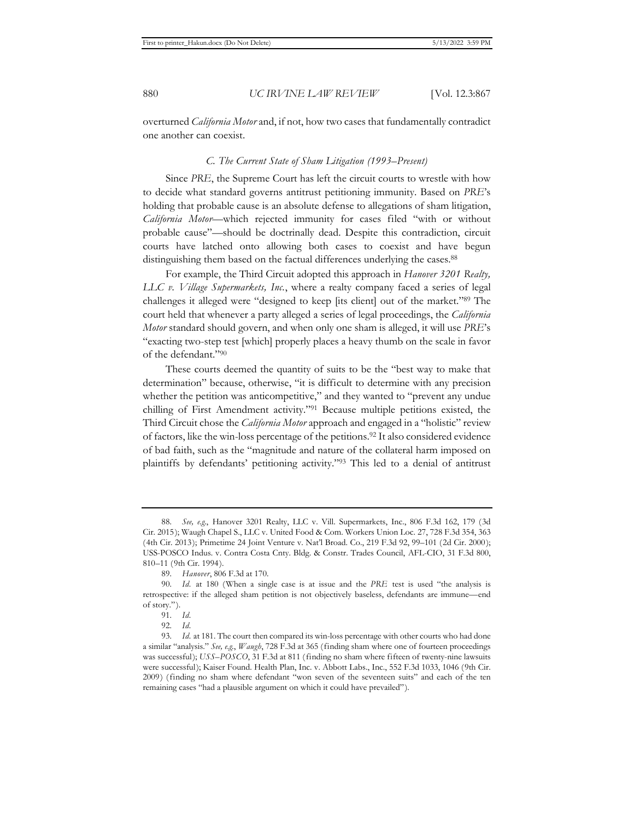overturned *California Motor* and, if not, how two cases that fundamentally contradict one another can coexist.

#### *C. The Current State of Sham Litigation (1993–Present)*

Since *PRE*, the Supreme Court has left the circuit courts to wrestle with how to decide what standard governs antitrust petitioning immunity. Based on *PRE*'s holding that probable cause is an absolute defense to allegations of sham litigation, *California Motor*—which rejected immunity for cases filed "with or without probable cause"—should be doctrinally dead. Despite this contradiction, circuit courts have latched onto allowing both cases to coexist and have begun distinguishing them based on the factual differences underlying the cases.<sup>88</sup>

For example, the Third Circuit adopted this approach in *Hanover 3201 Realty, LLC v. Village Supermarkets, Inc.*, where a realty company faced a series of legal challenges it alleged were "designed to keep [its client] out of the market."89 The court held that whenever a party alleged a series of legal proceedings, the *California Motor* standard should govern, and when only one sham is alleged, it will use *PRE*'s "exacting two-step test [which] properly places a heavy thumb on the scale in favor of the defendant."90

These courts deemed the quantity of suits to be the "best way to make that determination" because, otherwise, "it is difficult to determine with any precision whether the petition was anticompetitive," and they wanted to "prevent any undue chilling of First Amendment activity."91 Because multiple petitions existed, the Third Circuit chose the *California Motor* approach and engaged in a "holistic" review of factors, like the win-loss percentage of the petitions.92 It also considered evidence of bad faith, such as the "magnitude and nature of the collateral harm imposed on plaintiffs by defendants' petitioning activity."93 This led to a denial of antitrust

<sup>88.</sup> *See, e.g.*, Hanover 3201 Realty, LLC v. Vill. Supermarkets, Inc., 806 F.3d 162, 179 (3d Cir. 2015); Waugh Chapel S., LLC v. United Food & Com. Workers Union Loc. 27, 728 F.3d 354, 363 (4th Cir. 2013); Primetime 24 Joint Venture v. Nat'l Broad. Co., 219 F.3d 92, 99–101 (2d Cir. 2000); USS-POSCO Indus. v. Contra Costa Cnty. Bldg. & Constr. Trades Council, AFL-CIO, 31 F.3d 800, 810–11 (9th Cir. 1994).

<sup>89.</sup> *Hanover*, 806 F.3d at 170.

<sup>90.</sup> *Id.* at 180 (When a single case is at issue and the *PRE* test is used "the analysis is retrospective: if the alleged sham petition is not objectively baseless, defendants are immune—end of story.").

<sup>91.</sup> *Id.*

<sup>92.</sup> *Id.*

<sup>93.</sup> *Id.* at 181. The court then compared its win-loss percentage with other courts who had done a similar "analysis." *See, e.g.*, *Waugh*, 728 F.3d at 365 (finding sham where one of fourteen proceedings was successful); *USS–POSCO*, 31 F.3d at 811 (finding no sham where fifteen of twenty-nine lawsuits were successful); Kaiser Found. Health Plan, Inc. v. Abbott Labs., Inc., 552 F.3d 1033, 1046 (9th Cir. 2009) (finding no sham where defendant "won seven of the seventeen suits" and each of the ten remaining cases "had a plausible argument on which it could have prevailed").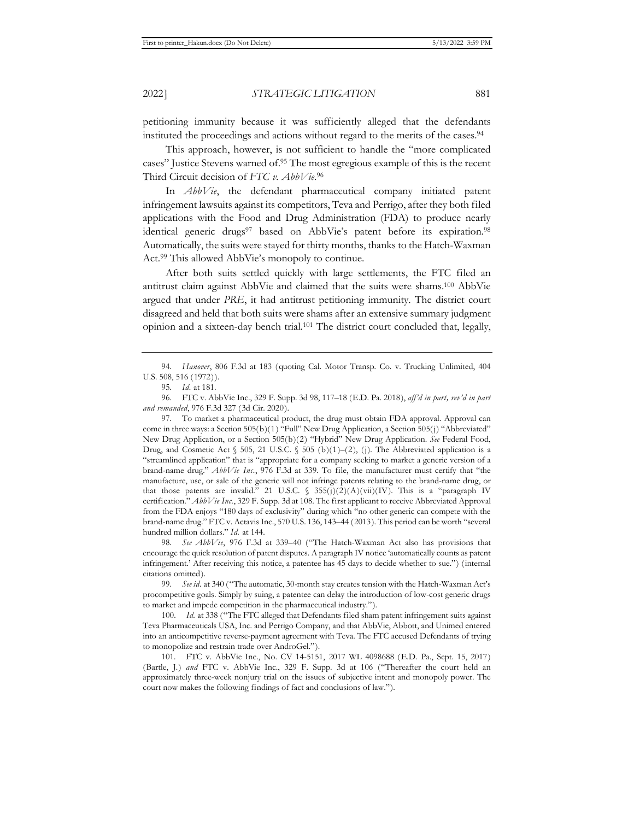petitioning immunity because it was sufficiently alleged that the defendants instituted the proceedings and actions without regard to the merits of the cases.94

This approach, however, is not sufficient to handle the "more complicated cases" Justice Stevens warned of.95 The most egregious example of this is the recent Third Circuit decision of *FTC v. AbbVie*. 96

In *AbbVie*, the defendant pharmaceutical company initiated patent infringement lawsuits against its competitors, Teva and Perrigo, after they both filed applications with the Food and Drug Administration (FDA) to produce nearly identical generic drugs<sup>97</sup> based on AbbVie's patent before its expiration.<sup>98</sup> Automatically, the suits were stayed for thirty months, thanks to the Hatch-Waxman Act.99 This allowed AbbVie's monopoly to continue.

After both suits settled quickly with large settlements, the FTC filed an antitrust claim against AbbVie and claimed that the suits were shams.100 AbbVie argued that under *PRE*, it had antitrust petitioning immunity. The district court disagreed and held that both suits were shams after an extensive summary judgment opinion and a sixteen-day bench trial.101 The district court concluded that, legally,

98. *See AbbVie*, 976 F.3d at 339–40 ("The Hatch-Waxman Act also has provisions that encourage the quick resolution of patent disputes. A paragraph IV notice 'automatically counts as patent infringement.' After receiving this notice, a patentee has 45 days to decide whether to sue.") (internal citations omitted).

99. *See id.* at 340 ("The automatic, 30-month stay creates tension with the Hatch-Waxman Act's procompetitive goals. Simply by suing, a patentee can delay the introduction of low-cost generic drugs to market and impede competition in the pharmaceutical industry.").

100. *Id.* at 338 ("The FTC alleged that Defendants filed sham patent infringement suits against Teva Pharmaceuticals USA, Inc. and Perrigo Company, and that AbbVie, Abbott, and Unimed entered into an anticompetitive reverse-payment agreement with Teva. The FTC accused Defendants of trying to monopolize and restrain trade over AndroGel.").

101. FTC v. AbbVie Inc., No. CV 14-5151, 2017 WL 4098688 (E.D. Pa., Sept. 15, 2017) (Bartle, J.) *and* FTC v. AbbVie Inc., 329 F. Supp. 3d at 106 ("Thereafter the court held an approximately three-week nonjury trial on the issues of subjective intent and monopoly power. The court now makes the following findings of fact and conclusions of law.").

<sup>94.</sup> *Hanover*, 806 F.3d at 183 (quoting Cal. Motor Transp. Co. v. Trucking Unlimited, 404 U.S. 508, 516 (1972)).

<sup>95.</sup> *Id.* at 181.

<sup>96.</sup> FTC v. AbbVie Inc., 329 F. Supp. 3d 98, 117–18 (E.D. Pa. 2018), *aff'd in part, rev'd in part and remanded*, 976 F.3d 327 (3d Cir. 2020).

<sup>97.</sup> To market a pharmaceutical product, the drug must obtain FDA approval. Approval can come in three ways: a Section 505(b)(1) "Full" New Drug Application, a Section 505(j) "Abbreviated" New Drug Application, or a Section 505(b)(2) "Hybrid" New Drug Application. *See* Federal Food, Drug, and Cosmetic Act  $\S$  505, 21 U.S.C.  $\S$  505 (b)(1)–(2), (j). The Abbreviated application is a "streamlined application" that is "appropriate for a company seeking to market a generic version of a brand-name drug." *AbbVie Inc.*, 976 F.3d at 339. To file, the manufacturer must certify that "the manufacture, use, or sale of the generic will not infringe patents relating to the brand-name drug, or that those patents are invalid." 21 U.S.C. § 355(j)(2)(A)(vii)(IV). This is a "paragraph IV certification." *AbbVie Inc.*, 329 F. Supp. 3d at 108. The first applicant to receive Abbreviated Approval from the FDA enjoys "180 days of exclusivity" during which "no other generic can compete with the brand-name drug." FTC v. Actavis Inc., 570 U.S. 136, 143–44 (2013). This period can be worth "several hundred million dollars." *Id.* at 144.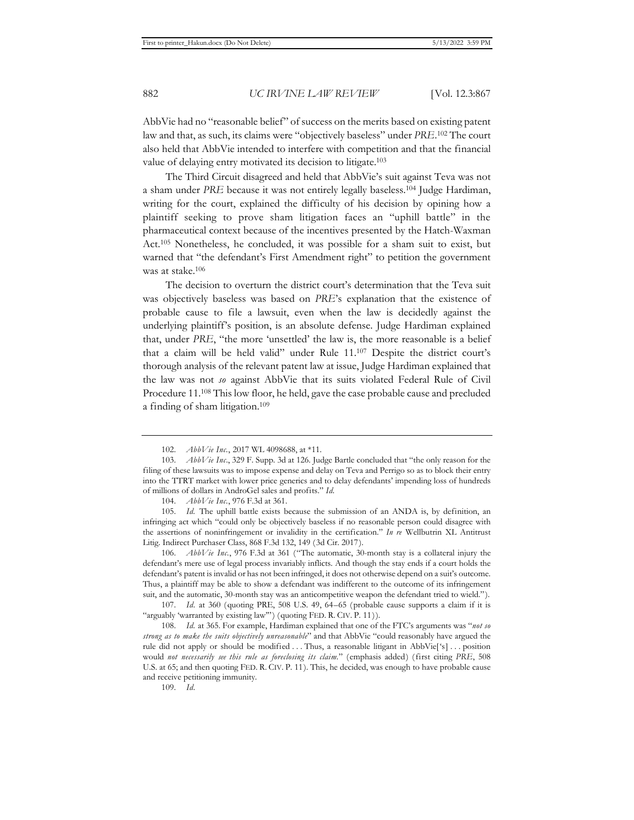AbbVie had no "reasonable belief" of success on the merits based on existing patent law and that, as such, its claims were "objectively baseless" under *PRE*. 102 The court also held that AbbVie intended to interfere with competition and that the financial value of delaying entry motivated its decision to litigate.103

The Third Circuit disagreed and held that AbbVie's suit against Teva was not a sham under *PRE* because it was not entirely legally baseless.104 Judge Hardiman, writing for the court, explained the difficulty of his decision by opining how a plaintiff seeking to prove sham litigation faces an "uphill battle" in the pharmaceutical context because of the incentives presented by the Hatch-Waxman Act.105 Nonetheless, he concluded, it was possible for a sham suit to exist, but warned that "the defendant's First Amendment right" to petition the government was at stake.106

The decision to overturn the district court's determination that the Teva suit was objectively baseless was based on *PRE*'s explanation that the existence of probable cause to file a lawsuit, even when the law is decidedly against the underlying plaintiff's position, is an absolute defense. Judge Hardiman explained that, under *PRE*, "the more 'unsettled' the law is, the more reasonable is a belief that a claim will be held valid" under Rule 11.107 Despite the district court's thorough analysis of the relevant patent law at issue, Judge Hardiman explained that the law was not *so* against AbbVie that its suits violated Federal Rule of Civil Procedure 11.108 This low floor, he held, gave the case probable cause and precluded a finding of sham litigation.109

106. *AbbVie Inc.*, 976 F.3d at 361 ("The automatic, 30-month stay is a collateral injury the defendant's mere use of legal process invariably inflicts. And though the stay ends if a court holds the defendant's patent is invalid or has not been infringed, it does not otherwise depend on a suit's outcome. Thus, a plaintiff may be able to show a defendant was indifferent to the outcome of its infringement suit, and the automatic, 30-month stay was an anticompetitive weapon the defendant tried to wield.").

107. *Id.* at 360 (quoting PRE, 508 U.S. 49, 64–65 (probable cause supports a claim if it is "arguably 'warranted by existing law"') (quoting FED. R. CIV. P. 11)).

108. *Id.* at 365. For example, Hardiman explained that one of the FTC's arguments was "*not so strong as to make the suits objectively unreasonable*" and that AbbVie "could reasonably have argued the rule did not apply or should be modified . . . Thus, a reasonable litigant in AbbVie['s] . . . position would *not necessarily see this rule as foreclosing its claim.*" (emphasis added) (first citing *PRE*, 508 U.S. at 65; and then quoting FED. R. CIV. P. 11). This, he decided, was enough to have probable cause and receive petitioning immunity.

109. *Id.*

<sup>102.</sup> *AbbVie Inc.*, 2017 WL 4098688, at \*11.

<sup>103.</sup> *AbbVie Inc*., 329 F. Supp. 3d at 126. Judge Bartle concluded that "the only reason for the filing of these lawsuits was to impose expense and delay on Teva and Perrigo so as to block their entry into the TTRT market with lower price generics and to delay defendants' impending loss of hundreds of millions of dollars in AndroGel sales and profits." *Id.* 

<sup>104.</sup> *AbbVie Inc.*, 976 F.3d at 361.

<sup>105.</sup> *Id.* The uphill battle exists because the submission of an ANDA is, by definition, an infringing act which "could only be objectively baseless if no reasonable person could disagree with the assertions of noninfringement or invalidity in the certification." *In re* Wellbutrin XL Antitrust Litig. Indirect Purchaser Class, 868 F.3d 132, 149 (3d Cir. 2017).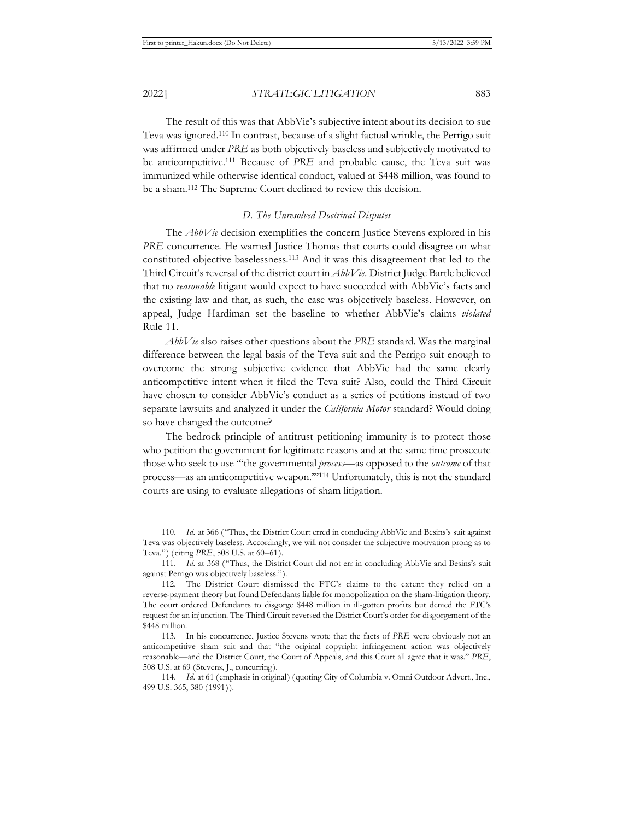The result of this was that AbbVie's subjective intent about its decision to sue Teva was ignored.110 In contrast, because of a slight factual wrinkle, the Perrigo suit was affirmed under *PRE* as both objectively baseless and subjectively motivated to be anticompetitive.111 Because of *PRE* and probable cause, the Teva suit was immunized while otherwise identical conduct, valued at \$448 million, was found to be a sham.112 The Supreme Court declined to review this decision.

## *D. The Unresolved Doctrinal Disputes*

The *AbbVie* decision exemplifies the concern Justice Stevens explored in his *PRE* concurrence. He warned Justice Thomas that courts could disagree on what constituted objective baselessness.113 And it was this disagreement that led to the Third Circuit's reversal of the district court in *AbbVie*. District Judge Bartle believed that no *reasonable* litigant would expect to have succeeded with AbbVie's facts and the existing law and that, as such, the case was objectively baseless. However, on appeal, Judge Hardiman set the baseline to whether AbbVie's claims *violated*  Rule 11.

*AbbVie* also raises other questions about the *PRE* standard. Was the marginal difference between the legal basis of the Teva suit and the Perrigo suit enough to overcome the strong subjective evidence that AbbVie had the same clearly anticompetitive intent when it filed the Teva suit? Also, could the Third Circuit have chosen to consider AbbVie's conduct as a series of petitions instead of two separate lawsuits and analyzed it under the *California Motor* standard? Would doing so have changed the outcome?

The bedrock principle of antitrust petitioning immunity is to protect those who petition the government for legitimate reasons and at the same time prosecute those who seek to use "'the governmental *process*—as opposed to the *outcome* of that process—as an anticompetitive weapon.'"114 Unfortunately, this is not the standard courts are using to evaluate allegations of sham litigation.

<sup>110.</sup> *Id.* at 366 ("Thus, the District Court erred in concluding AbbVie and Besins's suit against Teva was objectively baseless. Accordingly, we will not consider the subjective motivation prong as to Teva.") (citing *PRE*, 508 U.S. at 60–61).

<sup>111.</sup> *Id.* at 368 ("Thus, the District Court did not err in concluding AbbVie and Besins's suit against Perrigo was objectively baseless.").

<sup>112.</sup> The District Court dismissed the FTC's claims to the extent they relied on a reverse-payment theory but found Defendants liable for monopolization on the sham-litigation theory. The court ordered Defendants to disgorge \$448 million in ill-gotten profits but denied the FTC's request for an injunction. The Third Circuit reversed the District Court's order for disgorgement of the \$448 million.

<sup>113.</sup> In his concurrence, Justice Stevens wrote that the facts of *PRE* were obviously not an anticompetitive sham suit and that "the original copyright infringement action was objectively reasonable—and the District Court, the Court of Appeals, and this Court all agree that it was." *PRE*, 508 U.S. at 69 (Stevens, J., concurring).

<sup>114.</sup> *Id.* at 61 (emphasis in original) (quoting City of Columbia v. Omni Outdoor Advert., Inc., 499 U.S. 365, 380 (1991)).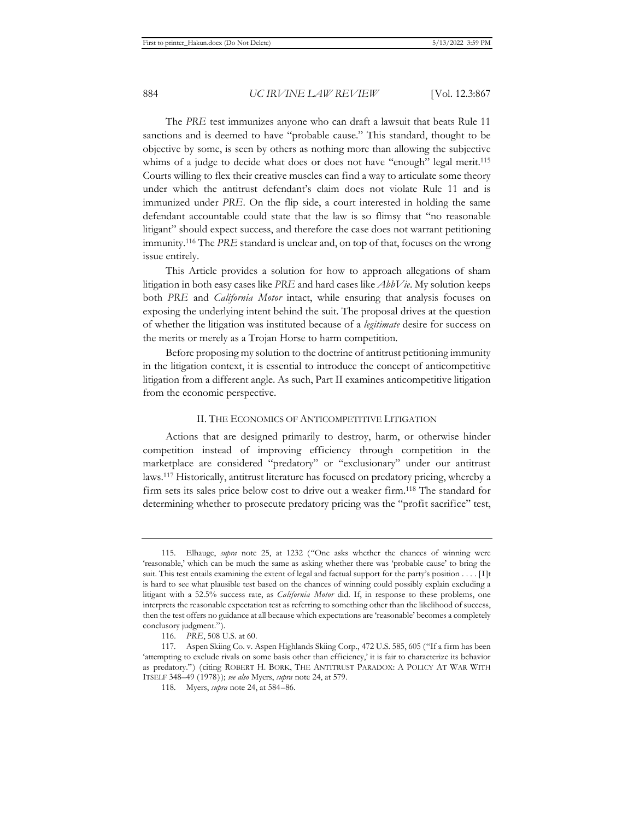The *PRE* test immunizes anyone who can draft a lawsuit that beats Rule 11 sanctions and is deemed to have "probable cause." This standard, thought to be objective by some, is seen by others as nothing more than allowing the subjective whims of a judge to decide what does or does not have "enough" legal merit.<sup>115</sup> Courts willing to flex their creative muscles can find a way to articulate some theory under which the antitrust defendant's claim does not violate Rule 11 and is immunized under *PRE*. On the flip side, a court interested in holding the same defendant accountable could state that the law is so flimsy that "no reasonable litigant" should expect success, and therefore the case does not warrant petitioning immunity.116 The *PRE* standard is unclear and, on top of that, focuses on the wrong issue entirely.

This Article provides a solution for how to approach allegations of sham litigation in both easy cases like *PRE* and hard cases like *AbbVie*. My solution keeps both *PRE* and *California Motor* intact, while ensuring that analysis focuses on exposing the underlying intent behind the suit. The proposal drives at the question of whether the litigation was instituted because of a *legitimate* desire for success on the merits or merely as a Trojan Horse to harm competition.

Before proposing my solution to the doctrine of antitrust petitioning immunity in the litigation context, it is essential to introduce the concept of anticompetitive litigation from a different angle. As such, Part II examines anticompetitive litigation from the economic perspective.

#### II. THE ECONOMICS OF ANTICOMPETITIVE LITIGATION

Actions that are designed primarily to destroy, harm, or otherwise hinder competition instead of improving efficiency through competition in the marketplace are considered "predatory" or "exclusionary" under our antitrust laws.117 Historically, antitrust literature has focused on predatory pricing, whereby a firm sets its sales price below cost to drive out a weaker firm.118 The standard for determining whether to prosecute predatory pricing was the "profit sacrifice" test,

<sup>115.</sup> Elhauge, *supra* note 25, at 1232 ("One asks whether the chances of winning were 'reasonable,' which can be much the same as asking whether there was 'probable cause' to bring the suit. This test entails examining the extent of legal and factual support for the party's position . . . . [I]t is hard to see what plausible test based on the chances of winning could possibly explain excluding a litigant with a 52.5% success rate, as *California Motor* did. If, in response to these problems, one interprets the reasonable expectation test as referring to something other than the likelihood of success, then the test offers no guidance at all because which expectations are 'reasonable' becomes a completely conclusory judgment.").

<sup>116.</sup> *PRE*, 508 U.S. at 60.

<sup>117.</sup> Aspen Skiing Co. v. Aspen Highlands Skiing Corp., 472 U.S. 585, 605 ("If a firm has been 'attempting to exclude rivals on some basis other than efficiency,' it is fair to characterize its behavior as predatory.") (citing ROBERT H. BORK, THE ANTITRUST PARADOX: A POLICY AT WAR WITH ITSELF 348–49 (1978)); *see also* Myers, *supra* note 24, at 579.

<sup>118.</sup> Myers, *supra* note 24, at 584–86.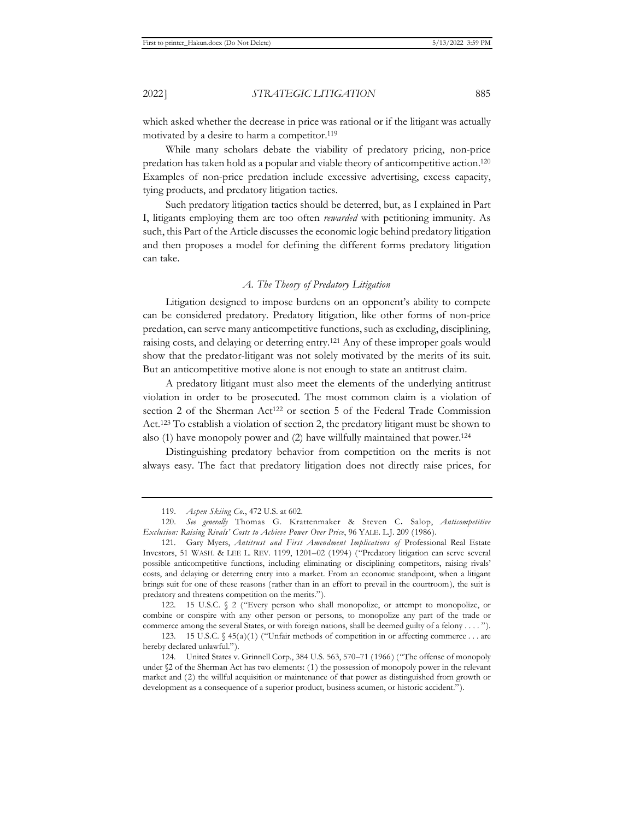which asked whether the decrease in price was rational or if the litigant was actually motivated by a desire to harm a competitor.<sup>119</sup>

While many scholars debate the viability of predatory pricing, non-price predation has taken hold as a popular and viable theory of anticompetitive action.120 Examples of non-price predation include excessive advertising, excess capacity, tying products, and predatory litigation tactics.

Such predatory litigation tactics should be deterred, but, as I explained in Part I, litigants employing them are too often *rewarded* with petitioning immunity. As such, this Part of the Article discusses the economic logic behind predatory litigation and then proposes a model for defining the different forms predatory litigation can take.

# *A. The Theory of Predatory Litigation*

Litigation designed to impose burdens on an opponent's ability to compete can be considered predatory. Predatory litigation, like other forms of non-price predation, can serve many anticompetitive functions, such as excluding, disciplining, raising costs, and delaying or deterring entry.121 Any of these improper goals would show that the predator-litigant was not solely motivated by the merits of its suit. But an anticompetitive motive alone is not enough to state an antitrust claim.

A predatory litigant must also meet the elements of the underlying antitrust violation in order to be prosecuted. The most common claim is a violation of section 2 of the Sherman Act<sup>122</sup> or section 5 of the Federal Trade Commission Act.123 To establish a violation of section 2, the predatory litigant must be shown to also (1) have monopoly power and (2) have willfully maintained that power.124

Distinguishing predatory behavior from competition on the merits is not always easy. The fact that predatory litigation does not directly raise prices, for

122. 15 U.S.C. § 2 ("Every person who shall monopolize, or attempt to monopolize, or combine or conspire with any other person or persons, to monopolize any part of the trade or commerce among the several States, or with foreign nations, shall be deemed guilty of a felony . . . . ").

123. 15 U.S.C.  $\sqrt{45(a)(1)}$  ("Unfair methods of competition in or affecting commerce . . . are hereby declared unlawful.").

<sup>119.</sup> *Aspen Skiing Co.*, 472 U.S. at 602.

<sup>120.</sup> *See generally* Thomas G. Krattenmaker & Steven C**.** Salop, *Anticompetitive Exclusion: Raising Rivals' Costs to Achieve Power Over Price*, 96 YALE. L.J. 209 (1986).

<sup>121.</sup> Gary Myers, *Antitrust and First Amendment Implications of* Professional Real Estate Investors, 51 WASH. & LEE L. REV. 1199, 1201–02 (1994) ("Predatory litigation can serve several possible anticompetitive functions, including eliminating or disciplining competitors, raising rivals' costs, and delaying or deterring entry into a market. From an economic standpoint, when a litigant brings suit for one of these reasons (rather than in an effort to prevail in the courtroom), the suit is predatory and threatens competition on the merits.").

<sup>124.</sup> United States v. Grinnell Corp., 384 U.S. 563, 570–71 (1966) ("The offense of monopoly under §2 of the Sherman Act has two elements: (1) the possession of monopoly power in the relevant market and (2) the willful acquisition or maintenance of that power as distinguished from growth or development as a consequence of a superior product, business acumen, or historic accident.").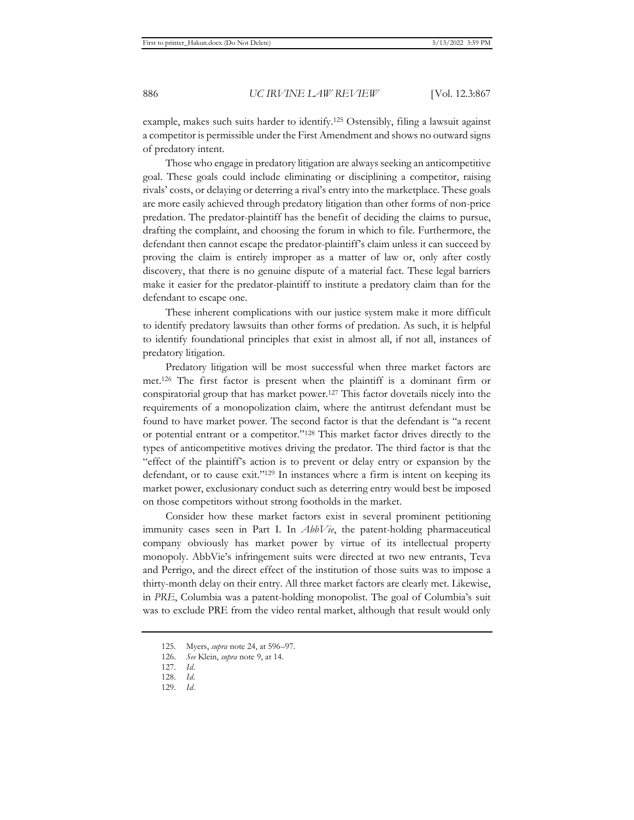example, makes such suits harder to identify.125 Ostensibly, filing a lawsuit against a competitor is permissible under the First Amendment and shows no outward signs of predatory intent.

Those who engage in predatory litigation are always seeking an anticompetitive goal. These goals could include eliminating or disciplining a competitor, raising rivals' costs, or delaying or deterring a rival's entry into the marketplace. These goals are more easily achieved through predatory litigation than other forms of non-price predation. The predator-plaintiff has the benefit of deciding the claims to pursue, drafting the complaint, and choosing the forum in which to file. Furthermore, the defendant then cannot escape the predator-plaintiff's claim unless it can succeed by proving the claim is entirely improper as a matter of law or, only after costly discovery, that there is no genuine dispute of a material fact. These legal barriers make it easier for the predator-plaintiff to institute a predatory claim than for the defendant to escape one.

These inherent complications with our justice system make it more difficult to identify predatory lawsuits than other forms of predation. As such, it is helpful to identify foundational principles that exist in almost all, if not all, instances of predatory litigation.

Predatory litigation will be most successful when three market factors are met.126 The first factor is present when the plaintiff is a dominant firm or conspiratorial group that has market power.127 This factor dovetails nicely into the requirements of a monopolization claim, where the antitrust defendant must be found to have market power. The second factor is that the defendant is "a recent or potential entrant or a competitor."128 This market factor drives directly to the types of anticompetitive motives driving the predator. The third factor is that the "effect of the plaintiff's action is to prevent or delay entry or expansion by the defendant, or to cause exit."<sup>129</sup> In instances where a firm is intent on keeping its market power, exclusionary conduct such as deterring entry would best be imposed on those competitors without strong footholds in the market.

Consider how these market factors exist in several prominent petitioning immunity cases seen in Part I. In *AbbVie*, the patent-holding pharmaceutical company obviously has market power by virtue of its intellectual property monopoly. AbbVie's infringement suits were directed at two new entrants, Teva and Perrigo, and the direct effect of the institution of those suits was to impose a thirty-month delay on their entry. All three market factors are clearly met. Likewise, in *PRE*, Columbia was a patent-holding monopolist. The goal of Columbia's suit was to exclude PRE from the video rental market, although that result would only

<sup>125.</sup> Myers, *supra* note 24, at 596–97.

<sup>126.</sup> *See* Klein, *supra* note 9, at 14.

<sup>127.</sup> *Id.*

<sup>128.</sup> *Id.* 

<sup>129.</sup> *Id.*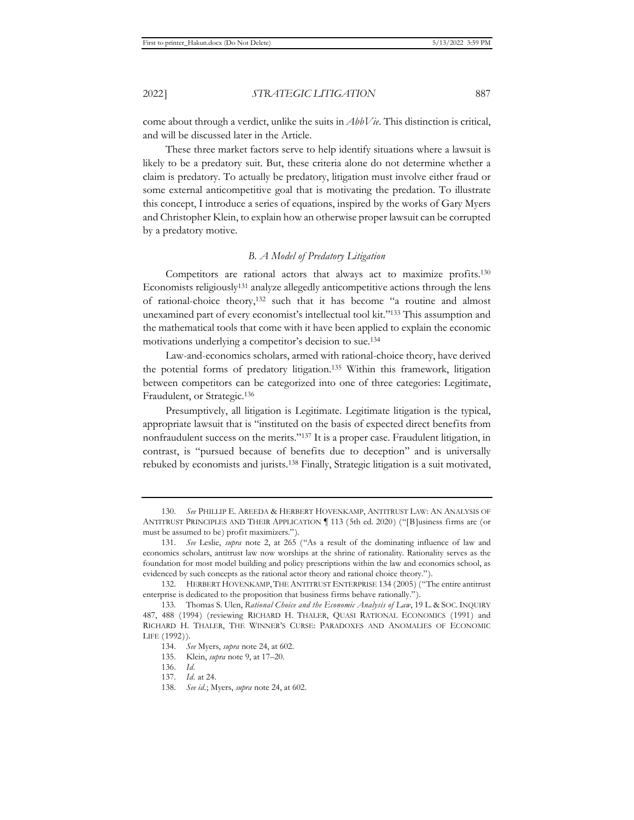come about through a verdict, unlike the suits in *AbbVie*. This distinction is critical, and will be discussed later in the Article.

These three market factors serve to help identify situations where a lawsuit is likely to be a predatory suit. But, these criteria alone do not determine whether a claim is predatory. To actually be predatory, litigation must involve either fraud or some external anticompetitive goal that is motivating the predation. To illustrate this concept, I introduce a series of equations, inspired by the works of Gary Myers and Christopher Klein, to explain how an otherwise proper lawsuit can be corrupted by a predatory motive.

## *B. A Model of Predatory Litigation*

Competitors are rational actors that always act to maximize profits.130 Economists religiously131 analyze allegedly anticompetitive actions through the lens of rational-choice theory,132 such that it has become "a routine and almost unexamined part of every economist's intellectual tool kit."133 This assumption and the mathematical tools that come with it have been applied to explain the economic motivations underlying a competitor's decision to sue.134

Law-and-economics scholars, armed with rational-choice theory, have derived the potential forms of predatory litigation.135 Within this framework, litigation between competitors can be categorized into one of three categories: Legitimate, Fraudulent, or Strategic.136

Presumptively, all litigation is Legitimate. Legitimate litigation is the typical, appropriate lawsuit that is "instituted on the basis of expected direct benefits from nonfraudulent success on the merits."137 It is a proper case. Fraudulent litigation, in contrast, is "pursued because of benefits due to deception" and is universally rebuked by economists and jurists.138 Finally, Strategic litigation is a suit motivated,

<sup>130.</sup> *See* PHILLIP E. AREEDA & HERBERT HOVENKAMP, ANTITRUST LAW: AN ANALYSIS OF ANTITRUST PRINCIPLES AND THEIR APPLICATION ¶ 113 (5th ed. 2020) ("[B]usiness firms are (or must be assumed to be) profit maximizers.").

<sup>131.</sup> *See* Leslie, *supra* note 2, at 265 ("As a result of the dominating influence of law and economics scholars, antitrust law now worships at the shrine of rationality. Rationality serves as the foundation for most model building and policy prescriptions within the law and economics school, as evidenced by such concepts as the rational actor theory and rational choice theory.").

<sup>132.</sup> HERBERT HOVENKAMP, THE ANTITRUST ENTERPRISE 134 (2005) ("The entire antitrust enterprise is dedicated to the proposition that business firms behave rationally.").

<sup>133.</sup> Thomas S. Ulen, *Rational Choice and the Economic Analysis of Law*, 19 L. & SOC. INQUIRY 487, 488 (1994) (reviewing RICHARD H. THALER, QUASI RATIONAL ECONOMICS (1991) and RICHARD H. THALER, THE WINNER'S CURSE: PARADOXES AND ANOMALIES OF ECONOMIC LIFE (1992)).

<sup>134.</sup> *See* Myers, *supra* note 24, at 602.

<sup>135.</sup> Klein, *supra* note 9, at 17–20.

<sup>136.</sup> *Id.*

<sup>137.</sup> *Id.* at 24.

<sup>138.</sup> *See id.*; Myers, *supra* note 24, at 602.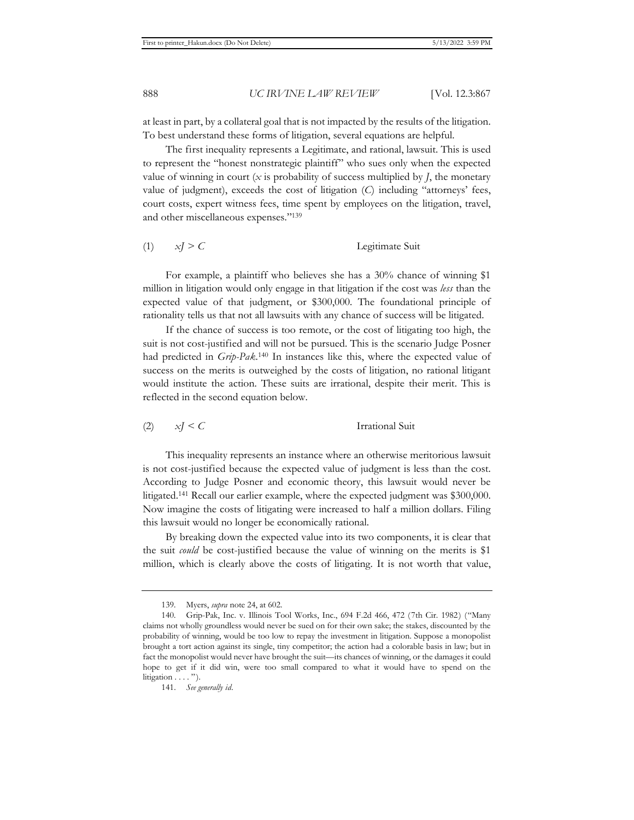at least in part, by a collateral goal that is not impacted by the results of the litigation. To best understand these forms of litigation, several equations are helpful.

The first inequality represents a Legitimate, and rational, lawsuit. This is used to represent the "honest nonstrategic plaintiff" who sues only when the expected value of winning in court  $(x$  is probability of success multiplied by *, the monetary* value of judgment), exceeds the cost of litigation (*C*) including "attorneys' fees, court costs, expert witness fees, time spent by employees on the litigation, travel, and other miscellaneous expenses."139

(1) *xJ > C* Legitimate Suit

For example, a plaintiff who believes she has a 30% chance of winning \$1 million in litigation would only engage in that litigation if the cost was *less* than the expected value of that judgment, or \$300,000. The foundational principle of rationality tells us that not all lawsuits with any chance of success will be litigated.

If the chance of success is too remote, or the cost of litigating too high, the suit is not cost-justified and will not be pursued. This is the scenario Judge Posner had predicted in *Grip-Pak*. 140 In instances like this, where the expected value of success on the merits is outweighed by the costs of litigation, no rational litigant would institute the action. These suits are irrational, despite their merit. This is reflected in the second equation below.

(2) *xJ < C* Irrational Suit

This inequality represents an instance where an otherwise meritorious lawsuit is not cost-justified because the expected value of judgment is less than the cost. According to Judge Posner and economic theory, this lawsuit would never be litigated.141 Recall our earlier example, where the expected judgment was \$300,000. Now imagine the costs of litigating were increased to half a million dollars. Filing this lawsuit would no longer be economically rational.

By breaking down the expected value into its two components, it is clear that the suit *could* be cost-justified because the value of winning on the merits is \$1 million, which is clearly above the costs of litigating. It is not worth that value,

<sup>139.</sup> Myers, *supra* note 24, at 602.

<sup>140.</sup> Grip-Pak, Inc. v. Illinois Tool Works, Inc., 694 F.2d 466, 472 (7th Cir. 1982) ("Many claims not wholly groundless would never be sued on for their own sake; the stakes, discounted by the probability of winning, would be too low to repay the investment in litigation. Suppose a monopolist brought a tort action against its single, tiny competitor; the action had a colorable basis in law; but in fact the monopolist would never have brought the suit—its chances of winning, or the damages it could hope to get if it did win, were too small compared to what it would have to spend on the litigation  $\dots$ .").

<sup>141.</sup> *See generally id.*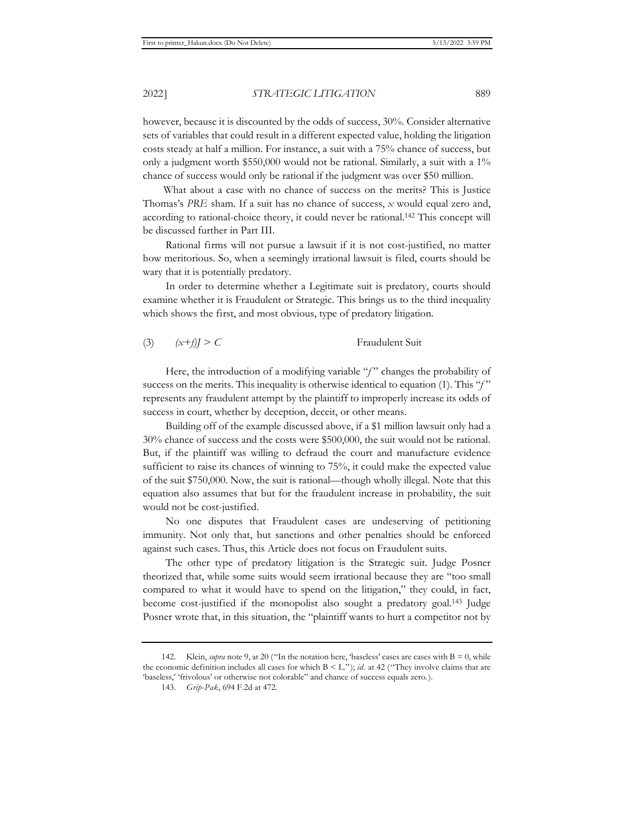however, because it is discounted by the odds of success, 30%. Consider alternative sets of variables that could result in a different expected value, holding the litigation costs steady at half a million. For instance, a suit with a 75% chance of success, but only a judgment worth \$550,000 would not be rational. Similarly, a suit with a 1% chance of success would only be rational if the judgment was over \$50 million.

 What about a case with no chance of success on the merits? This is Justice Thomas's *PRE* sham. If a suit has no chance of success, *x* would equal zero and, according to rational-choice theory, it could never be rational.142 This concept will be discussed further in Part III.

Rational firms will not pursue a lawsuit if it is not cost-justified, no matter how meritorious. So, when a seemingly irrational lawsuit is filed, courts should be wary that it is potentially predatory.

In order to determine whether a Legitimate suit is predatory, courts should examine whether it is Fraudulent or Strategic. This brings us to the third inequality which shows the first, and most obvious, type of predatory litigation.

(3)  $(x+j) > C$  Fraudulent Suit

Here, the introduction of a modifying variable "f" changes the probability of success on the merits. This inequality is otherwise identical to equation (1). This "*f* " represents any fraudulent attempt by the plaintiff to improperly increase its odds of success in court, whether by deception, deceit, or other means.

Building off of the example discussed above, if a \$1 million lawsuit only had a 30% chance of success and the costs were \$500,000, the suit would not be rational. But, if the plaintiff was willing to defraud the court and manufacture evidence sufficient to raise its chances of winning to 75%, it could make the expected value of the suit \$750,000. Now, the suit is rational—though wholly illegal. Note that this equation also assumes that but for the fraudulent increase in probability, the suit would not be cost-justified.

No one disputes that Fraudulent cases are undeserving of petitioning immunity. Not only that, but sanctions and other penalties should be enforced against such cases. Thus, this Article does not focus on Fraudulent suits.

The other type of predatory litigation is the Strategic suit. Judge Posner theorized that, while some suits would seem irrational because they are "too small compared to what it would have to spend on the litigation," they could, in fact, become cost-justified if the monopolist also sought a predatory goal.143 Judge Posner wrote that, in this situation, the "plaintiff wants to hurt a competitor not by

<sup>142.</sup> Klein, *supra* note 9, at 20 ("In the notation here, 'baseless' cases are cases with B = 0, while the economic definition includes all cases for which B < L."); *id.* at 42 ("They involve claims that are 'baseless,' 'frivolous' or otherwise not colorable" and chance of success equals zero.).

<sup>143.</sup> *Grip-Pak*, 694 F.2d at 472.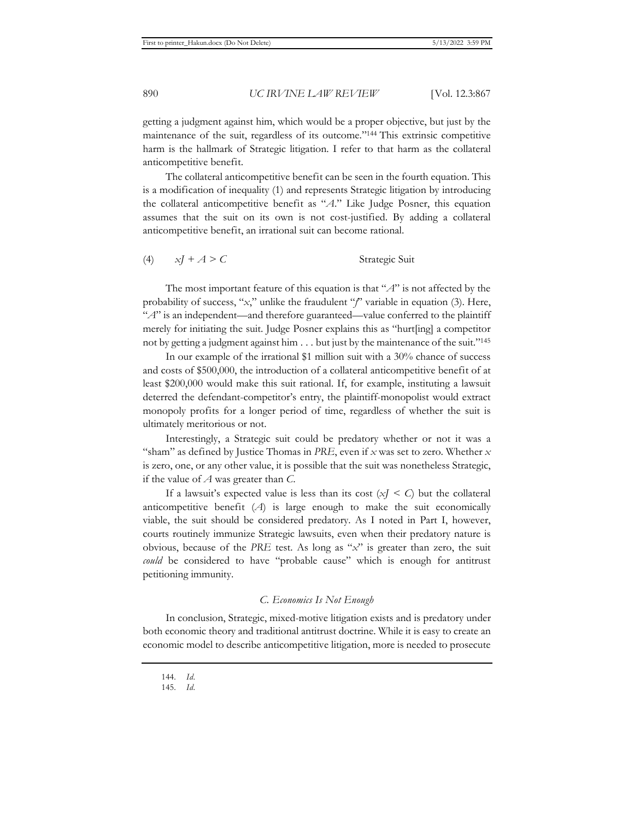getting a judgment against him, which would be a proper objective, but just by the maintenance of the suit, regardless of its outcome."144 This extrinsic competitive harm is the hallmark of Strategic litigation. I refer to that harm as the collateral anticompetitive benefit.

The collateral anticompetitive benefit can be seen in the fourth equation. This is a modification of inequality (1) and represents Strategic litigation by introducing the collateral anticompetitive benefit as "*A*." Like Judge Posner, this equation assumes that the suit on its own is not cost-justified. By adding a collateral anticompetitive benefit, an irrational suit can become rational.

(4) *xJ + A > C* Strategic Suit

The most important feature of this equation is that "*A*" is not affected by the probability of success, "*x*," unlike the fraudulent "*f*" variable in equation (3). Here, "A" is an independent—and therefore guaranteed—value conferred to the plaintiff merely for initiating the suit. Judge Posner explains this as "hurt[ing] a competitor not by getting a judgment against him . . . but just by the maintenance of the suit."145

In our example of the irrational \$1 million suit with a 30% chance of success and costs of \$500,000, the introduction of a collateral anticompetitive benefit of at least \$200,000 would make this suit rational. If, for example, instituting a lawsuit deterred the defendant-competitor's entry, the plaintiff-monopolist would extract monopoly profits for a longer period of time, regardless of whether the suit is ultimately meritorious or not.

Interestingly, a Strategic suit could be predatory whether or not it was a "sham" as defined by Justice Thomas in *PRE*, even if *x* was set to zero. Whether *x* is zero, one, or any other value, it is possible that the suit was nonetheless Strategic, if the value of *A* was greater than *C*.

If a lawsuit's expected value is less than its cost  $(x *I* < *C*)$  but the collateral anticompetitive benefit (*A*) is large enough to make the suit economically viable, the suit should be considered predatory. As I noted in Part I, however, courts routinely immunize Strategic lawsuits, even when their predatory nature is obvious, because of the *PRE* test. As long as "*x*" is greater than zero, the suit *could* be considered to have "probable cause" which is enough for antitrust petitioning immunity.

# *C. Economics Is Not Enough*

In conclusion, Strategic, mixed-motive litigation exists and is predatory under both economic theory and traditional antitrust doctrine. While it is easy to create an economic model to describe anticompetitive litigation, more is needed to prosecute

144. *Id.*

<sup>145.</sup> *Id.*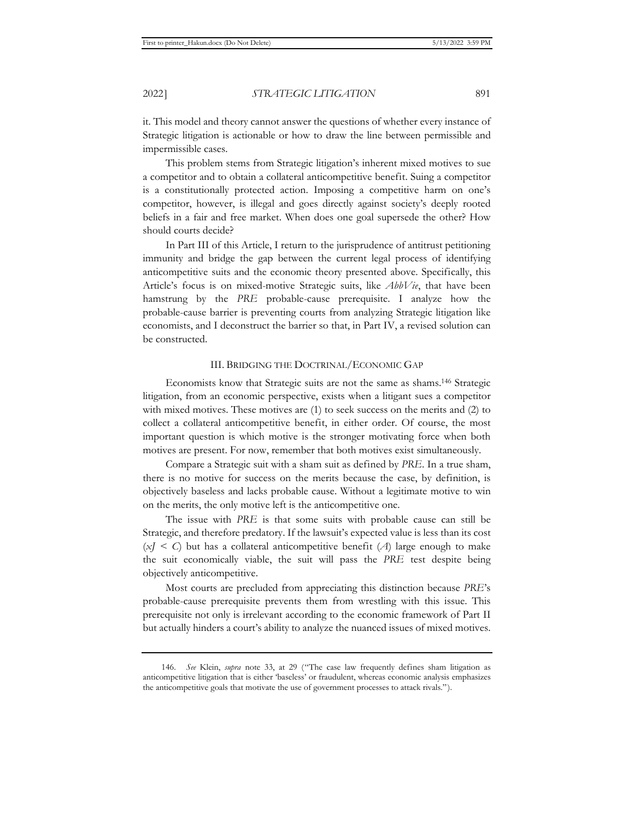it. This model and theory cannot answer the questions of whether every instance of Strategic litigation is actionable or how to draw the line between permissible and impermissible cases.

This problem stems from Strategic litigation's inherent mixed motives to sue a competitor and to obtain a collateral anticompetitive benefit. Suing a competitor is a constitutionally protected action. Imposing a competitive harm on one's competitor, however, is illegal and goes directly against society's deeply rooted beliefs in a fair and free market. When does one goal supersede the other? How should courts decide?

In Part III of this Article, I return to the jurisprudence of antitrust petitioning immunity and bridge the gap between the current legal process of identifying anticompetitive suits and the economic theory presented above. Specifically, this Article's focus is on mixed-motive Strategic suits, like *AbbVie*, that have been hamstrung by the *PRE* probable-cause prerequisite. I analyze how the probable-cause barrier is preventing courts from analyzing Strategic litigation like economists, and I deconstruct the barrier so that, in Part IV, a revised solution can be constructed.

#### III. BRIDGING THE DOCTRINAL/ECONOMIC GAP

Economists know that Strategic suits are not the same as shams.146 Strategic litigation, from an economic perspective, exists when a litigant sues a competitor with mixed motives. These motives are (1) to seek success on the merits and (2) to collect a collateral anticompetitive benefit, in either order. Of course, the most important question is which motive is the stronger motivating force when both motives are present. For now, remember that both motives exist simultaneously.

Compare a Strategic suit with a sham suit as defined by *PRE*. In a true sham, there is no motive for success on the merits because the case, by definition, is objectively baseless and lacks probable cause. Without a legitimate motive to win on the merits, the only motive left is the anticompetitive one.

The issue with *PRE* is that some suits with probable cause can still be Strategic, and therefore predatory. If the lawsuit's expected value is less than its cost  $(x <sub>I</sub> < c)$  but has a collateral anticompetitive benefit (*A*) large enough to make the suit economically viable, the suit will pass the *PRE* test despite being objectively anticompetitive.

Most courts are precluded from appreciating this distinction because *PRE*'s probable-cause prerequisite prevents them from wrestling with this issue. This prerequisite not only is irrelevant according to the economic framework of Part II but actually hinders a court's ability to analyze the nuanced issues of mixed motives.

<sup>146.</sup> *See* Klein, *supra* note 33, at 29 ("The case law frequently defines sham litigation as anticompetitive litigation that is either 'baseless' or fraudulent, whereas economic analysis emphasizes the anticompetitive goals that motivate the use of government processes to attack rivals.").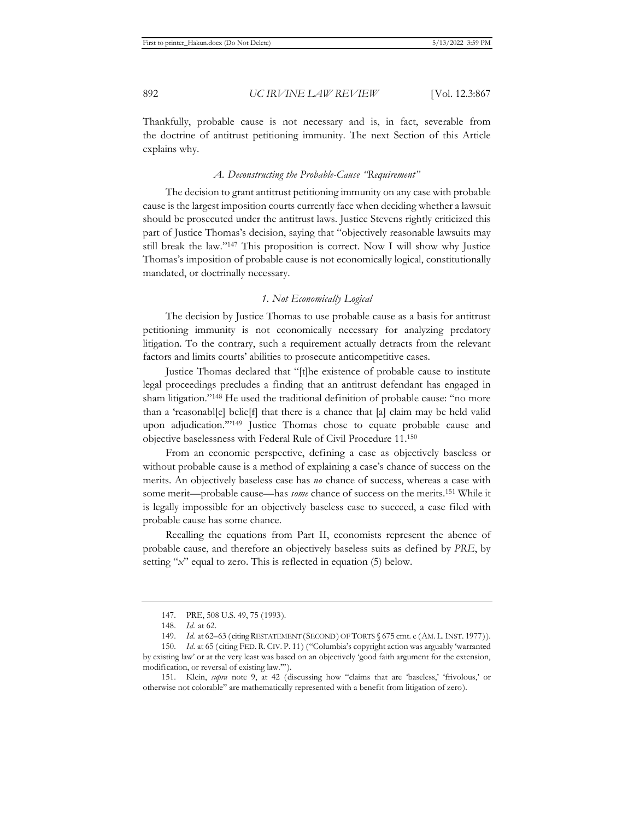Thankfully, probable cause is not necessary and is, in fact, severable from the doctrine of antitrust petitioning immunity. The next Section of this Article explains why.

### *A. Deconstructing the Probable-Cause "Requirement"*

The decision to grant antitrust petitioning immunity on any case with probable cause is the largest imposition courts currently face when deciding whether a lawsuit should be prosecuted under the antitrust laws. Justice Stevens rightly criticized this part of Justice Thomas's decision, saying that "objectively reasonable lawsuits may still break the law."147 This proposition is correct. Now I will show why Justice Thomas's imposition of probable cause is not economically logical, constitutionally mandated, or doctrinally necessary.

## *1. Not Economically Logical*

The decision by Justice Thomas to use probable cause as a basis for antitrust petitioning immunity is not economically necessary for analyzing predatory litigation. To the contrary, such a requirement actually detracts from the relevant factors and limits courts' abilities to prosecute anticompetitive cases.

Justice Thomas declared that "[t]he existence of probable cause to institute legal proceedings precludes a finding that an antitrust defendant has engaged in sham litigation."148 He used the traditional definition of probable cause: "no more than a 'reasonabl[e] belie[f] that there is a chance that [a] claim may be held valid upon adjudication.'"149 Justice Thomas chose to equate probable cause and objective baselessness with Federal Rule of Civil Procedure 11.150

From an economic perspective, defining a case as objectively baseless or without probable cause is a method of explaining a case's chance of success on the merits. An objectively baseless case has *no* chance of success, whereas a case with some merit—probable cause—has *some* chance of success on the merits.151 While it is legally impossible for an objectively baseless case to succeed, a case filed with probable cause has some chance.

Recalling the equations from Part II, economists represent the abence of probable cause, and therefore an objectively baseless suits as defined by *PRE*, by setting "*x*" equal to zero. This is reflected in equation (5) below.

<sup>147.</sup> PRE, 508 U.S. 49, 75 (1993).

<sup>148.</sup> *Id.* at 62.

<sup>149.</sup> *Id.* at 62–63 (citing RESTATEMENT (SECOND) OF TORTS § 675 cmt. e (AM. L.INST. 1977)).

<sup>150.</sup> *Id.* at 65 (citing FED. R. CIV. P. 11) ("Columbia's copyright action was arguably 'warranted by existing law' or at the very least was based on an objectively 'good faith argument for the extension, modification, or reversal of existing law.'").

<sup>151.</sup> Klein, *supra* note 9, at 42 (discussing how "claims that are 'baseless,' 'frivolous,' or otherwise not colorable" are mathematically represented with a benefit from litigation of zero).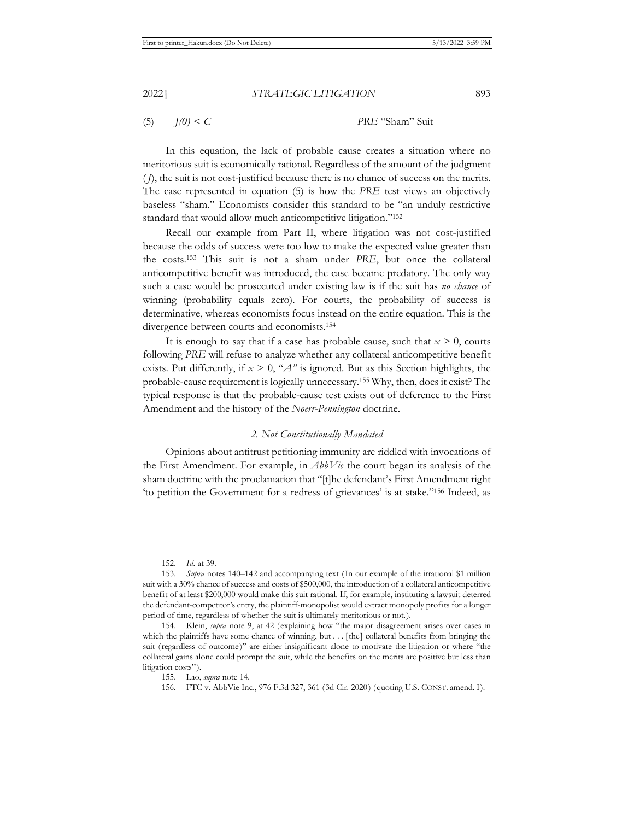(5) *J(0) < C PRE* "Sham" Suit

In this equation, the lack of probable cause creates a situation where no meritorious suit is economically rational. Regardless of the amount of the judgment (*J*), the suit is not cost-justified because there is no chance of success on the merits. The case represented in equation (5) is how the *PRE* test views an objectively baseless "sham." Economists consider this standard to be "an unduly restrictive standard that would allow much anticompetitive litigation."152

Recall our example from Part II, where litigation was not cost-justified because the odds of success were too low to make the expected value greater than the costs.153 This suit is not a sham under *PRE*, but once the collateral anticompetitive benefit was introduced, the case became predatory. The only way such a case would be prosecuted under existing law is if the suit has *no chance* of winning (probability equals zero). For courts, the probability of success is determinative, whereas economists focus instead on the entire equation. This is the divergence between courts and economists.154

It is enough to say that if a case has probable cause, such that  $x > 0$ , courts following *PRE* will refuse to analyze whether any collateral anticompetitive benefit exists. Put differently, if  $x > 0$ , " $A$ " is ignored. But as this Section highlights, the probable-cause requirement is logically unnecessary.155 Why, then, does it exist? The typical response is that the probable-cause test exists out of deference to the First Amendment and the history of the *Noerr-Pennington* doctrine.

# *2. Not Constitutionally Mandated*

Opinions about antitrust petitioning immunity are riddled with invocations of the First Amendment. For example, in *AbbVie* the court began its analysis of the sham doctrine with the proclamation that "[t]he defendant's First Amendment right 'to petition the Government for a redress of grievances' is at stake."156 Indeed, as

<sup>152.</sup> *Id.* at 39.

<sup>153.</sup> *Supra* notes 140–142 and accompanying text (In our example of the irrational \$1 million suit with a 30% chance of success and costs of \$500,000, the introduction of a collateral anticompetitive benefit of at least \$200,000 would make this suit rational. If, for example, instituting a lawsuit deterred the defendant-competitor's entry, the plaintiff-monopolist would extract monopoly profits for a longer period of time, regardless of whether the suit is ultimately meritorious or not.).

<sup>154.</sup> Klein, *supra* note 9, at 42 (explaining how "the major disagreement arises over cases in which the plaintiffs have some chance of winning, but . . . [the] collateral benefits from bringing the suit (regardless of outcome)" are either insignificant alone to motivate the litigation or where "the collateral gains alone could prompt the suit, while the benefits on the merits are positive but less than litigation costs").

<sup>155.</sup> Lao, *supra* note 14.

<sup>156.</sup> FTC v. AbbVie Inc., 976 F.3d 327, 361 (3d Cir. 2020) (quoting U.S. CONST. amend. I).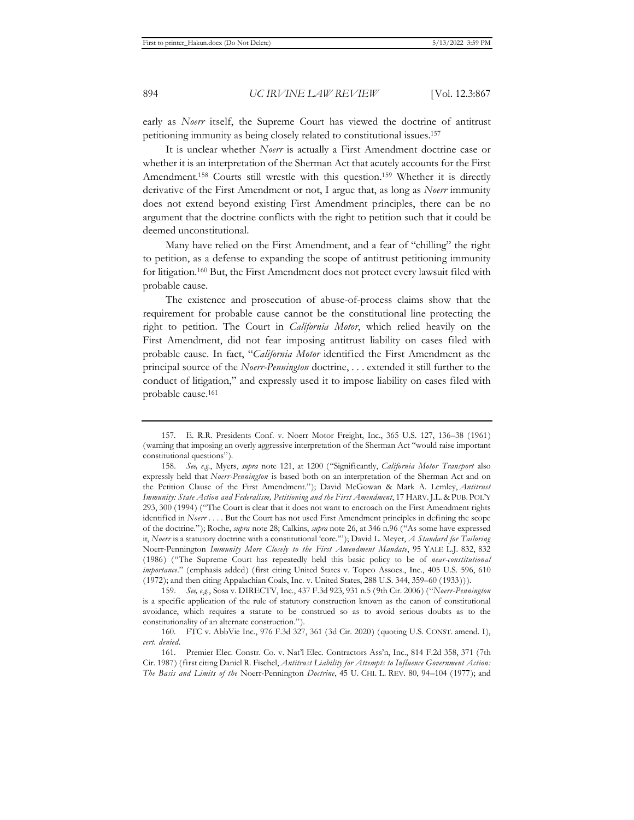early as *Noerr* itself, the Supreme Court has viewed the doctrine of antitrust petitioning immunity as being closely related to constitutional issues.157

It is unclear whether *Noerr* is actually a First Amendment doctrine case or whether it is an interpretation of the Sherman Act that acutely accounts for the First Amendment.158 Courts still wrestle with this question.159 Whether it is directly derivative of the First Amendment or not, I argue that, as long as *Noerr* immunity does not extend beyond existing First Amendment principles, there can be no argument that the doctrine conflicts with the right to petition such that it could be deemed unconstitutional.

Many have relied on the First Amendment, and a fear of "chilling" the right to petition, as a defense to expanding the scope of antitrust petitioning immunity for litigation.160 But, the First Amendment does not protect every lawsuit filed with probable cause.

The existence and prosecution of abuse-of-process claims show that the requirement for probable cause cannot be the constitutional line protecting the right to petition. The Court in *California Motor*, which relied heavily on the First Amendment, did not fear imposing antitrust liability on cases filed with probable cause. In fact, "*California Motor* identified the First Amendment as the principal source of the *Noerr-Pennington* doctrine, . . . extended it still further to the conduct of litigation," and expressly used it to impose liability on cases filed with probable cause.161

<sup>157.</sup> E. R.R. Presidents Conf. v. Noerr Motor Freight, Inc., 365 U.S. 127, 136–38 (1961) (warning that imposing an overly aggressive interpretation of the Sherman Act "would raise important constitutional questions").

<sup>158.</sup> *See, e.g.*, Myers, *supra* note 121, at 1200 ("Significantly, *California Motor Transport* also expressly held that *Noerr-Pennington* is based both on an interpretation of the Sherman Act and on the Petition Clause of the First Amendment."); David McGowan & Mark A. Lemley, *Antitrust Immunity: State Action and Federalism, Petitioning and the First Amendment*, 17 HARV.J.L. & PUB. POL'Y 293, 300 (1994) ("The Court is clear that it does not want to encroach on the First Amendment rights identified in *Noerr* . . . . But the Court has not used First Amendment principles in defining the scope of the doctrine."); Roche, *supra* note 28; Calkins, *supra* note 26, at 346 n.96 ("As some have expressed it, *Noerr* is a statutory doctrine with a constitutional 'core.'"); David L. Meyer, *A Standard for Tailoring*  Noerr-Pennington *Immunity More Closely to the First Amendment Mandate*, 95 YALE L.J. 832, 832 (1986) ("The Supreme Court has repeatedly held this basic policy to be of *near-constitutional importance*." (emphasis added) (first citing United States v. Topco Assocs., Inc., 405 U.S. 596, 610 (1972); and then citing Appalachian Coals, Inc. v. United States, 288 U.S. 344, 359–60 (1933))).

<sup>159.</sup> *See, e.g.*, Sosa v. DIRECTV, Inc., 437 F.3d 923, 931 n.5 (9th Cir. 2006) ("*Noerr-Pennington*  is a specific application of the rule of statutory construction known as the canon of constitutional avoidance, which requires a statute to be construed so as to avoid serious doubts as to the constitutionality of an alternate construction.").

<sup>160.</sup> FTC v. AbbVie Inc., 976 F.3d 327, 361 (3d Cir. 2020) (quoting U.S. CONST. amend. I), *cert. denied*.

<sup>161.</sup> Premier Elec. Constr. Co. v. Nat'l Elec. Contractors Ass'n, Inc., 814 F.2d 358, 371 (7th Cir. 1987) (first citing Daniel R. Fischel, *Antitrust Liability for Attempts to Influence Government Action: The Basis and Limits of the* Noerr-Pennington *Doctrine*, 45 U. CHI. L. REV. 80, 94–104 (1977); and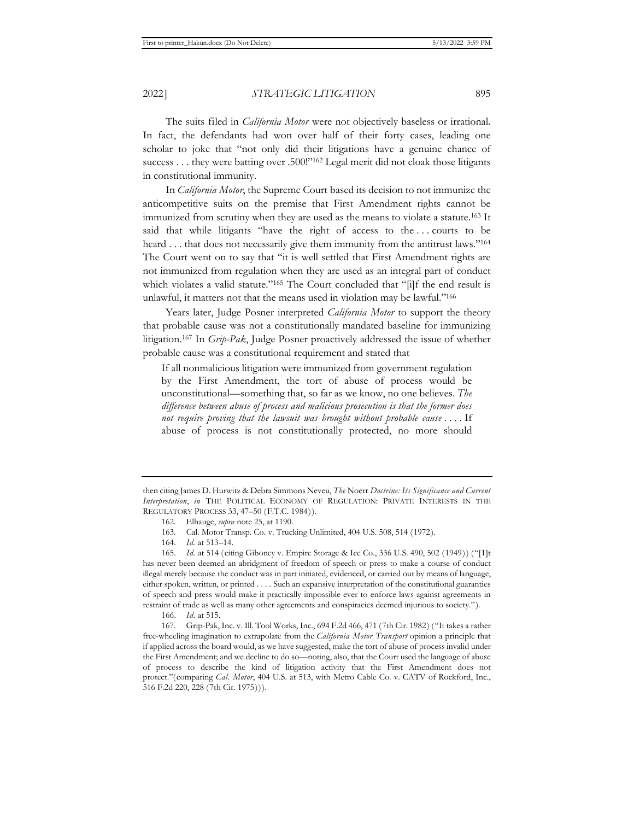The suits filed in *California Motor* were not objectively baseless or irrational. In fact, the defendants had won over half of their forty cases, leading one scholar to joke that "not only did their litigations have a genuine chance of success . . . they were batting over .500!"<sup>162</sup> Legal merit did not cloak those litigants in constitutional immunity.

In *California Motor*, the Supreme Court based its decision to not immunize the anticompetitive suits on the premise that First Amendment rights cannot be immunized from scrutiny when they are used as the means to violate a statute.163 It said that while litigants "have the right of access to the . . . courts to be heard . . . that does not necessarily give them immunity from the antitrust laws."<sup>164</sup> The Court went on to say that "it is well settled that First Amendment rights are not immunized from regulation when they are used as an integral part of conduct which violates a valid statute."<sup>165</sup> The Court concluded that "[i]f the end result is unlawful, it matters not that the means used in violation may be lawful."166

Years later, Judge Posner interpreted *California Motor* to support the theory that probable cause was not a constitutionally mandated baseline for immunizing litigation.167 In *Grip-Pak*, Judge Posner proactively addressed the issue of whether probable cause was a constitutional requirement and stated that

If all nonmalicious litigation were immunized from government regulation by the First Amendment, the tort of abuse of process would be unconstitutional—something that, so far as we know, no one believes. *The difference between abuse of process and malicious prosecution is that the former does not require proving that the lawsuit was brought without probable cause* . . . . If abuse of process is not constitutionally protected, no more should

166. *Id.* at 515.

then citing James D. Hurwitz & Debra Simmons Neveu, *The* Noerr *Doctrine: Its Significance and Current Interpretation*, *in* THE POLITICAL ECONOMY OF REGULATION: PRIVATE INTERESTS IN THE REGULATORY PROCESS 33, 47–50 (F.T.C. 1984)).

<sup>162.</sup> Elhauge, *supra* note 25, at 1190.

<sup>163.</sup> Cal. Motor Transp. Co. v. Trucking Unlimited, 404 U.S. 508, 514 (1972).

<sup>164.</sup> *Id.* at 513–14.

<sup>165.</sup> *Id.* at 514 (citing Giboney v. Empire Storage & Ice Co., 336 U.S. 490, 502 (1949)) ("[I]t has never been deemed an abridgment of freedom of speech or press to make a course of conduct illegal merely because the conduct was in part initiated, evidenced, or carried out by means of language, either spoken, written, or printed . . . . Such an expansive interpretation of the constitutional guaranties of speech and press would make it practically impossible ever to enforce laws against agreements in restraint of trade as well as many other agreements and conspiracies deemed injurious to society.").

<sup>167.</sup> Grip-Pak, Inc. v. Ill. Tool Works, Inc., 694 F.2d 466, 471 (7th Cir. 1982) ("It takes a rather free-wheeling imagination to extrapolate from the *California Motor Transport* opinion a principle that if applied across the board would, as we have suggested, make the tort of abuse of process invalid under the First Amendment; and we decline to do so—noting, also, that the Court used the language of abuse of process to describe the kind of litigation activity that the First Amendment does not protect."(comparing *Cal. Motor*, 404 U.S. at 513, with Metro Cable Co. v. CATV of Rockford, Inc., 516 F.2d 220, 228 (7th Cir. 1975))).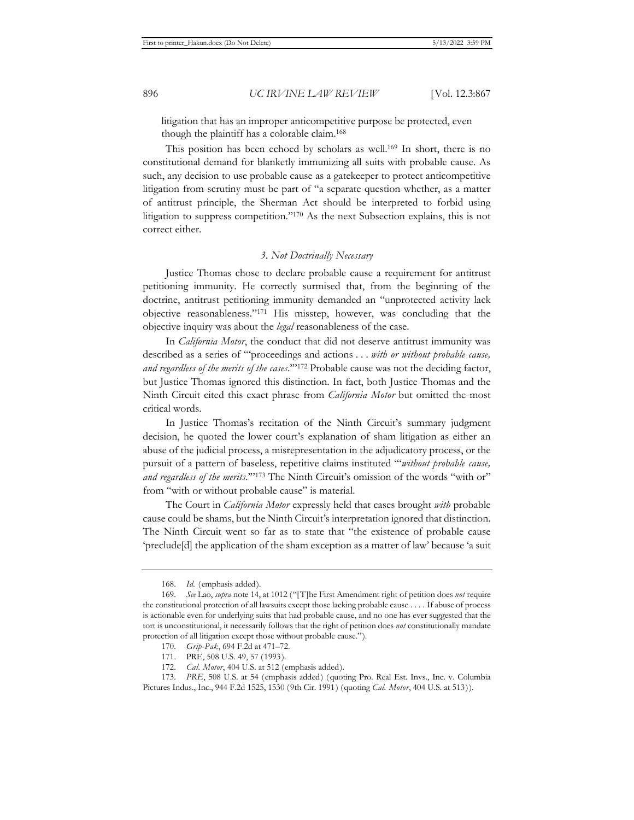litigation that has an improper anticompetitive purpose be protected, even though the plaintiff has a colorable claim.168

This position has been echoed by scholars as well.<sup>169</sup> In short, there is no constitutional demand for blanketly immunizing all suits with probable cause. As such, any decision to use probable cause as a gatekeeper to protect anticompetitive litigation from scrutiny must be part of "a separate question whether, as a matter of antitrust principle, the Sherman Act should be interpreted to forbid using litigation to suppress competition."170 As the next Subsection explains, this is not correct either.

# *3. Not Doctrinally Necessary*

Justice Thomas chose to declare probable cause a requirement for antitrust petitioning immunity. He correctly surmised that, from the beginning of the doctrine, antitrust petitioning immunity demanded an "unprotected activity lack objective reasonableness."171 His misstep, however, was concluding that the objective inquiry was about the *legal* reasonableness of the case.

In *California Motor*, the conduct that did not deserve antitrust immunity was described as a series of "'proceedings and actions . . . *with or without probable cause, and regardless of the merits of the cases*.'"172 Probable cause was not the deciding factor, but Justice Thomas ignored this distinction. In fact, both Justice Thomas and the Ninth Circuit cited this exact phrase from *California Motor* but omitted the most critical words.

In Justice Thomas's recitation of the Ninth Circuit's summary judgment decision, he quoted the lower court's explanation of sham litigation as either an abuse of the judicial process, a misrepresentation in the adjudicatory process, or the pursuit of a pattern of baseless, repetitive claims instituted "'*without probable cause,*  and regardless of the merits."<sup>2173</sup> The Ninth Circuit's omission of the words "with or" from "with or without probable cause" is material.

The Court in *California Motor* expressly held that cases brought *with* probable cause could be shams, but the Ninth Circuit's interpretation ignored that distinction. The Ninth Circuit went so far as to state that "the existence of probable cause 'preclude[d] the application of the sham exception as a matter of law' because 'a suit

<sup>168.</sup> *Id.* (emphasis added).

<sup>169.</sup> *See* Lao, *supra* note 14, at 1012 ("[T]he First Amendment right of petition does *not* require the constitutional protection of all lawsuits except those lacking probable cause . . . . If abuse of process is actionable even for underlying suits that had probable cause, and no one has ever suggested that the tort is unconstitutional, it necessarily follows that the right of petition does *not* constitutionally mandate protection of all litigation except those without probable cause.").

<sup>170.</sup> *Grip-Pak*, 694 F.2d at 471–72.

<sup>171.</sup> PRE, 508 U.S. 49, 57 (1993).

<sup>172.</sup> *Cal. Motor*, 404 U.S. at 512 (emphasis added).

<sup>173.</sup> *PRE*, 508 U.S. at 54 (emphasis added) (quoting Pro. Real Est. Invs., Inc. v. Columbia Pictures Indus., Inc., 944 F.2d 1525, 1530 (9th Cir. 1991) (quoting *Cal. Motor*, 404 U.S. at 513)).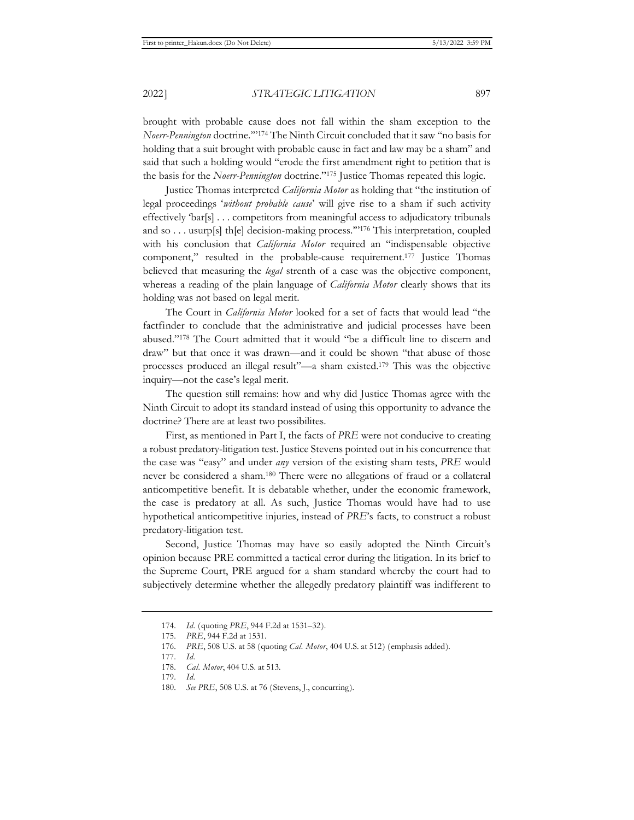brought with probable cause does not fall within the sham exception to the *Noerr-Pennington* doctrine.'"174 The Ninth Circuit concluded that it saw "no basis for holding that a suit brought with probable cause in fact and law may be a sham" and said that such a holding would "erode the first amendment right to petition that is the basis for the *Noerr-Pennington* doctrine."175 Justice Thomas repeated this logic.

Justice Thomas interpreted *California Motor* as holding that "the institution of legal proceedings '*without probable cause*' will give rise to a sham if such activity effectively 'bar[s] . . . competitors from meaningful access to adjudicatory tribunals and so . . . usurp[s] th[e] decision-making process.'"176 This interpretation, coupled with his conclusion that *California Motor* required an "indispensable objective component," resulted in the probable-cause requirement.177 Justice Thomas believed that measuring the *legal* strenth of a case was the objective component, whereas a reading of the plain language of *California Motor* clearly shows that its holding was not based on legal merit.

The Court in *California Motor* looked for a set of facts that would lead "the factfinder to conclude that the administrative and judicial processes have been abused."178 The Court admitted that it would "be a difficult line to discern and draw" but that once it was drawn—and it could be shown "that abuse of those processes produced an illegal result"—a sham existed.179 This was the objective inquiry—not the case's legal merit.

The question still remains: how and why did Justice Thomas agree with the Ninth Circuit to adopt its standard instead of using this opportunity to advance the doctrine? There are at least two possibilites.

First, as mentioned in Part I, the facts of *PRE* were not conducive to creating a robust predatory-litigation test. Justice Stevens pointed out in his concurrence that the case was "easy" and under *any* version of the existing sham tests, *PRE* would never be considered a sham.180 There were no allegations of fraud or a collateral anticompetitive benefit. It is debatable whether, under the economic framework, the case is predatory at all. As such, Justice Thomas would have had to use hypothetical anticompetitive injuries, instead of *PRE*'s facts, to construct a robust predatory-litigation test.

Second, Justice Thomas may have so easily adopted the Ninth Circuit's opinion because PRE committed a tactical error during the litigation. In its brief to the Supreme Court, PRE argued for a sham standard whereby the court had to subjectively determine whether the allegedly predatory plaintiff was indifferent to

<sup>174.</sup> *Id.* (quoting *PRE*, 944 F.2d at 1531–32).

<sup>175.</sup> *PRE*, 944 F.2d at 1531.

<sup>176.</sup> *PRE*, 508 U.S. at 58 (quoting *Cal. Motor*, 404 U.S. at 512) (emphasis added).

<sup>177.</sup> *Id.*

<sup>178.</sup> *Cal. Motor*, 404 U.S. at 513.

<sup>179.</sup> *Id.*

<sup>180.</sup> *See PRE*, 508 U.S. at 76 (Stevens, J., concurring).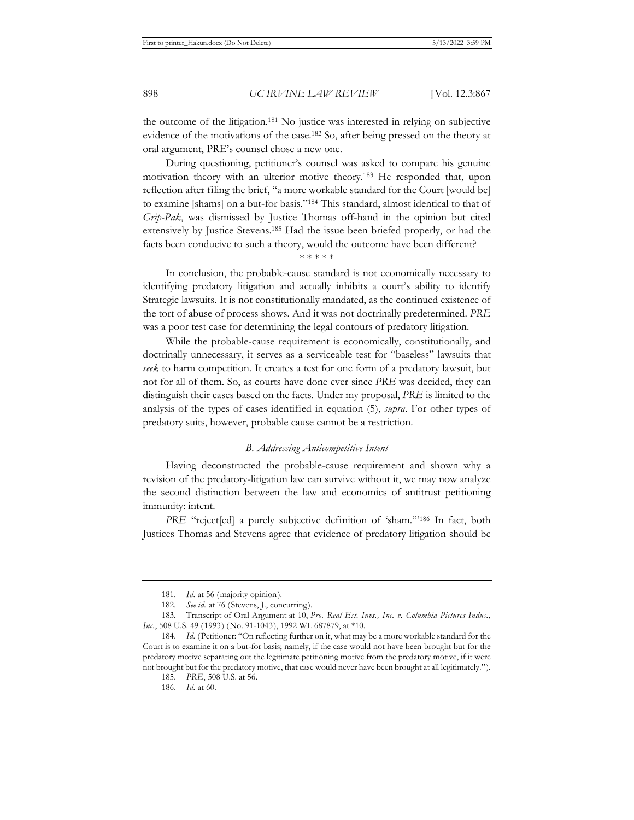the outcome of the litigation.181 No justice was interested in relying on subjective evidence of the motivations of the case.182 So, after being pressed on the theory at oral argument, PRE's counsel chose a new one.

During questioning, petitioner's counsel was asked to compare his genuine motivation theory with an ulterior motive theory.183 He responded that, upon reflection after filing the brief, "a more workable standard for the Court [would be] to examine [shams] on a but-for basis."184 This standard, almost identical to that of *Grip-Pak*, was dismissed by Justice Thomas off-hand in the opinion but cited extensively by Justice Stevens.185 Had the issue been briefed properly, or had the facts been conducive to such a theory, would the outcome have been different?

\* \* \* \* \*

In conclusion, the probable-cause standard is not economically necessary to identifying predatory litigation and actually inhibits a court's ability to identify Strategic lawsuits. It is not constitutionally mandated, as the continued existence of the tort of abuse of process shows. And it was not doctrinally predetermined. *PRE*  was a poor test case for determining the legal contours of predatory litigation.

While the probable-cause requirement is economically, constitutionally, and doctrinally unnecessary, it serves as a serviceable test for "baseless" lawsuits that *seek* to harm competition. It creates a test for one form of a predatory lawsuit, but not for all of them. So, as courts have done ever since *PRE* was decided, they can distinguish their cases based on the facts. Under my proposal, *PRE* is limited to the analysis of the types of cases identified in equation (5), *supra*. For other types of predatory suits, however, probable cause cannot be a restriction.

#### *B. Addressing Anticompetitive Intent*

Having deconstructed the probable-cause requirement and shown why a revision of the predatory-litigation law can survive without it, we may now analyze the second distinction between the law and economics of antitrust petitioning immunity: intent.

*PRE* "reject[ed] a purely subjective definition of 'sham."<sup>186</sup> In fact, both Justices Thomas and Stevens agree that evidence of predatory litigation should be

<sup>181.</sup> *Id.* at 56 (majority opinion).

<sup>182.</sup> *See id.* at 76 (Stevens, J., concurring).

<sup>183.</sup> Transcript of Oral Argument at 10, *Pro. Real Est. Invs., Inc. v. Columbia Pictures Indus., Inc.*, 508 U.S. 49 (1993) (No. 91-1043), 1992 WL 687879, at \*10.

<sup>184.</sup> *Id.* (Petitioner: "On reflecting further on it, what may be a more workable standard for the Court is to examine it on a but-for basis; namely, if the case would not have been brought but for the predatory motive separating out the legitimate petitioning motive from the predatory motive, if it were not brought but for the predatory motive, that case would never have been brought at all legitimately.").

<sup>185.</sup> *PRE*, 508 U.S. at 56.

<sup>186.</sup> *Id.* at 60.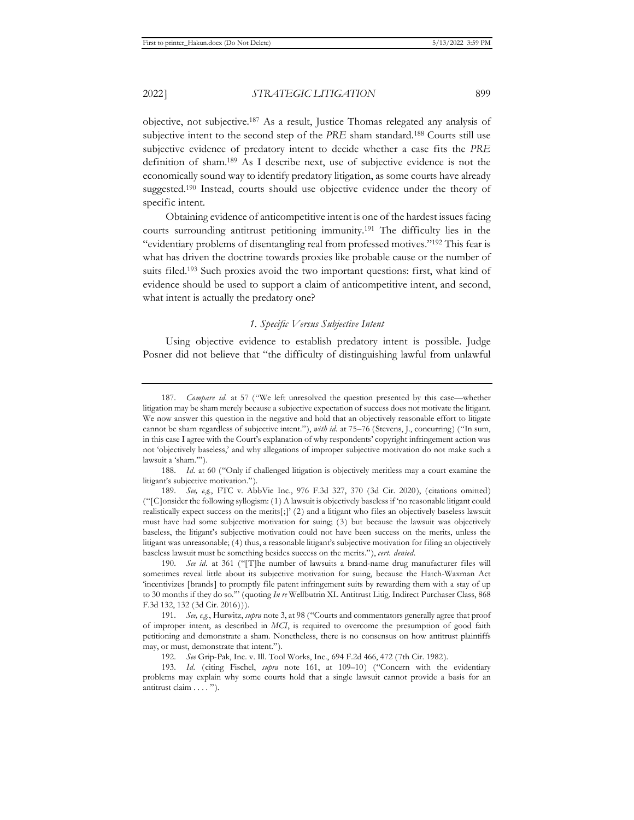objective, not subjective.187 As a result, Justice Thomas relegated any analysis of subjective intent to the second step of the *PRE* sham standard.188 Courts still use subjective evidence of predatory intent to decide whether a case fits the *PRE*  definition of sham.189 As I describe next, use of subjective evidence is not the economically sound way to identify predatory litigation, as some courts have already suggested.190 Instead, courts should use objective evidence under the theory of specific intent.

Obtaining evidence of anticompetitive intent is one of the hardest issues facing courts surrounding antitrust petitioning immunity.191 The difficulty lies in the "evidentiary problems of disentangling real from professed motives."192 This fear is what has driven the doctrine towards proxies like probable cause or the number of suits filed.193 Such proxies avoid the two important questions: first, what kind of evidence should be used to support a claim of anticompetitive intent, and second, what intent is actually the predatory one?

# *1. Specific Versus Subjective Intent*

Using objective evidence to establish predatory intent is possible. Judge Posner did not believe that "the difficulty of distinguishing lawful from unlawful

188. *Id.* at 60 ("Only if challenged litigation is objectively meritless may a court examine the litigant's subjective motivation.").

190. *See id.* at 361 ("[T]he number of lawsuits a brand-name drug manufacturer files will sometimes reveal little about its subjective motivation for suing, because the Hatch-Waxman Act 'incentivizes [brands] to promptly file patent infringement suits by rewarding them with a stay of up to 30 months if they do so.'" (quoting *In re* Wellbutrin XL Antitrust Litig. Indirect Purchaser Class, 868 F.3d 132, 132 (3d Cir. 2016))).

191. *See, e.g.*, Hurwitz, *supra* note 3, at 98 ("Courts and commentators generally agree that proof of improper intent, as described in *MCI*, is required to overcome the presumption of good faith petitioning and demonstrate a sham. Nonetheless, there is no consensus on how antitrust plaintiffs may, or must, demonstrate that intent.").

192. *See* Grip-Pak, Inc. v. Ill. Tool Works, Inc., 694 F.2d 466, 472 (7th Cir. 1982).

193. *Id.* (citing Fischel, *supra* note 161, at 109–10) ("Concern with the evidentiary problems may explain why some courts hold that a single lawsuit cannot provide a basis for an antitrust claim . . . . ").

<sup>187.</sup> *Compare id.* at 57 ("We left unresolved the question presented by this case—whether litigation may be sham merely because a subjective expectation of success does not motivate the litigant. We now answer this question in the negative and hold that an objectively reasonable effort to litigate cannot be sham regardless of subjective intent."), *with id.* at 75–76 (Stevens, J., concurring) ("In sum, in this case I agree with the Court's explanation of why respondents' copyright infringement action was not 'objectively baseless,' and why allegations of improper subjective motivation do not make such a lawsuit a 'sham.'").

<sup>189.</sup> *See, e.g.*, FTC v. AbbVie Inc., 976 F.3d 327, 370 (3d Cir. 2020), (citations omitted) ("[C]onsider the following syllogism: (1) A lawsuit is objectively baseless if 'no reasonable litigant could realistically expect success on the merits[;]' (2) and a litigant who files an objectively baseless lawsuit must have had some subjective motivation for suing; (3) but because the lawsuit was objectively baseless, the litigant's subjective motivation could not have been success on the merits, unless the litigant was unreasonable; (4) thus, a reasonable litigant's subjective motivation for filing an objectively baseless lawsuit must be something besides success on the merits."), *cert. denied*.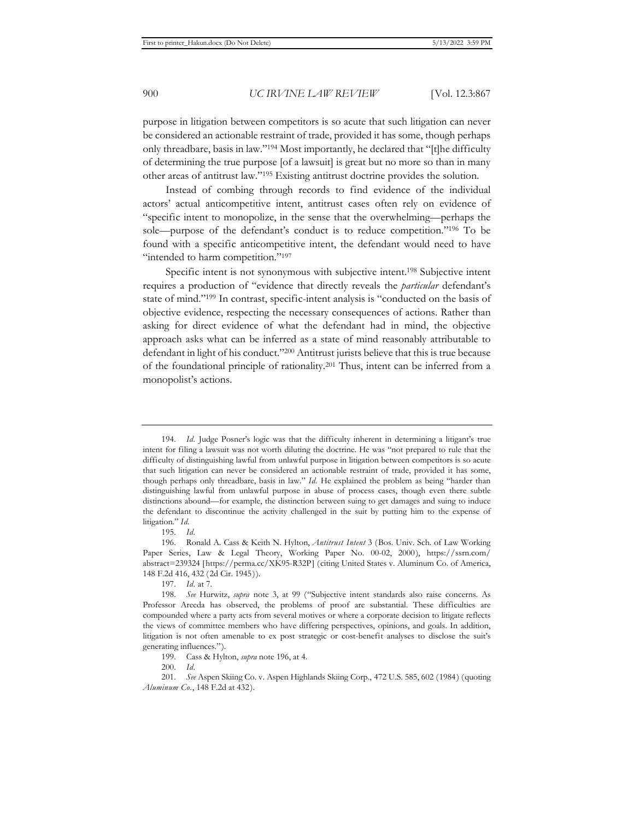purpose in litigation between competitors is so acute that such litigation can never be considered an actionable restraint of trade, provided it has some, though perhaps only threadbare, basis in law."194 Most importantly, he declared that "[t]he difficulty of determining the true purpose [of a lawsuit] is great but no more so than in many other areas of antitrust law."195 Existing antitrust doctrine provides the solution.

Instead of combing through records to find evidence of the individual actors' actual anticompetitive intent, antitrust cases often rely on evidence of "specific intent to monopolize, in the sense that the overwhelming—perhaps the sole—purpose of the defendant's conduct is to reduce competition."196 To be found with a specific anticompetitive intent, the defendant would need to have "intended to harm competition."<sup>197</sup>

Specific intent is not synonymous with subjective intent.198 Subjective intent requires a production of "evidence that directly reveals the *particular* defendant's state of mind."199 In contrast, specific-intent analysis is "conducted on the basis of objective evidence, respecting the necessary consequences of actions. Rather than asking for direct evidence of what the defendant had in mind, the objective approach asks what can be inferred as a state of mind reasonably attributable to defendant in light of his conduct."200 Antitrust jurists believe that this is true because of the foundational principle of rationality.201 Thus, intent can be inferred from a monopolist's actions.

200. *Id.* 

<sup>194.</sup> *Id.* Judge Posner's logic was that the difficulty inherent in determining a litigant's true intent for filing a lawsuit was not worth diluting the doctrine. He was "not prepared to rule that the difficulty of distinguishing lawful from unlawful purpose in litigation between competitors is so acute that such litigation can never be considered an actionable restraint of trade, provided it has some, though perhaps only threadbare, basis in law." *Id.* He explained the problem as being "harder than distinguishing lawful from unlawful purpose in abuse of process cases, though even there subtle distinctions abound—for example, the distinction between suing to get damages and suing to induce the defendant to discontinue the activity challenged in the suit by putting him to the expense of litigation." *Id.* 

<sup>195.</sup> *Id.*

<sup>196.</sup> Ronald A. Cass & Keith N. Hylton, *Antitrust Intent* 3 (Bos. Univ. Sch. of Law Working Paper Series, Law & Legal Theory, Working Paper No. 00-02, 2000), https://ssrn.com/ abstract=239324 [https://perma.cc/XK95-R32P] (citing United States v. Aluminum Co. of America, 148 F.2d 416, 432 (2d Cir. 1945)).

<sup>197.</sup> *Id.* at 7.

<sup>198.</sup> *See* Hurwitz, *supra* note 3, at 99 ("Subjective intent standards also raise concerns. As Professor Areeda has observed, the problems of proof are substantial. These difficulties are compounded where a party acts from several motives or where a corporate decision to litigate reflects the views of committee members who have differing perspectives, opinions, and goals. In addition, litigation is not often amenable to ex post strategic or cost-benefit analyses to disclose the suit's generating influences.").

<sup>199.</sup> Cass & Hylton, *supra* note 196, at 4.

<sup>201.</sup> *See* Aspen Skiing Co. v. Aspen Highlands Skiing Corp., 472 U.S. 585, 602 (1984) (quoting *Aluminum Co.*, 148 F.2d at 432).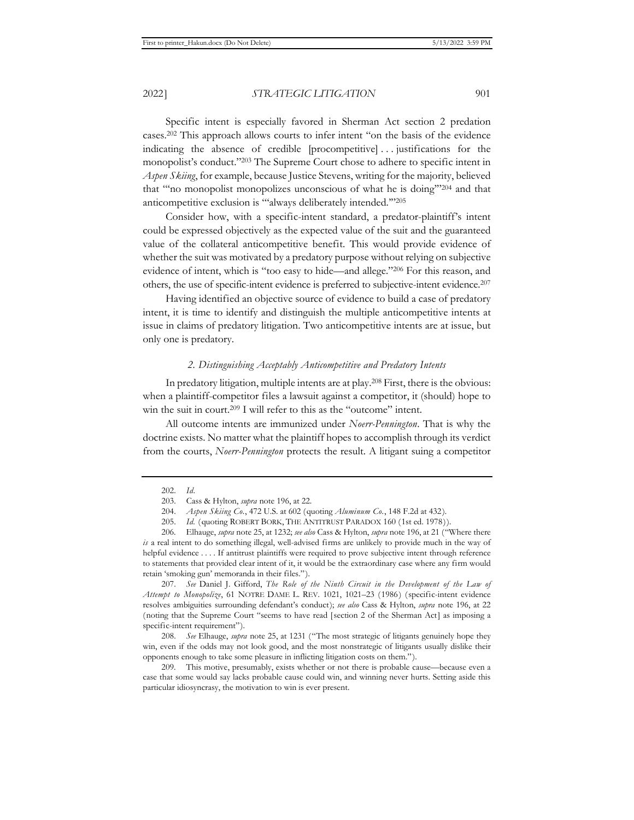Specific intent is especially favored in Sherman Act section 2 predation cases.202 This approach allows courts to infer intent "on the basis of the evidence indicating the absence of credible [procompetitive] . . . justifications for the monopolist's conduct."203 The Supreme Court chose to adhere to specific intent in *Aspen Skiing*, for example, because Justice Stevens, writing for the majority, believed that "'no monopolist monopolizes unconscious of what he is doing'"204 and that anticompetitive exclusion is "'always deliberately intended.'"205

Consider how, with a specific-intent standard, a predator-plaintiff's intent could be expressed objectively as the expected value of the suit and the guaranteed value of the collateral anticompetitive benefit. This would provide evidence of whether the suit was motivated by a predatory purpose without relying on subjective evidence of intent, which is "too easy to hide—and allege."206 For this reason, and others, the use of specific-intent evidence is preferred to subjective-intent evidence.207

Having identified an objective source of evidence to build a case of predatory intent, it is time to identify and distinguish the multiple anticompetitive intents at issue in claims of predatory litigation. Two anticompetitive intents are at issue, but only one is predatory.

#### *2. Distinguishing Acceptably Anticompetitive and Predatory Intents*

In predatory litigation, multiple intents are at play.208 First, there is the obvious: when a plaintiff-competitor files a lawsuit against a competitor, it (should) hope to win the suit in court.<sup>209</sup> I will refer to this as the "outcome" intent.

All outcome intents are immunized under *Noerr-Pennington*. That is why the doctrine exists. No matter what the plaintiff hopes to accomplish through its verdict from the courts, *Noerr-Pennington* protects the result. A litigant suing a competitor

207. *See* Daniel J. Gifford, *The Role of the Ninth Circuit in the Development of the Law of Attempt to Monopolize*, 61 NOTRE DAME L. REV. 1021, 1021–23 (1986) (specific-intent evidence resolves ambiguities surrounding defendant's conduct); *see also* Cass & Hylton, *supra* note 196, at 22 (noting that the Supreme Court "seems to have read [section 2 of the Sherman Act] as imposing a specific-intent requirement").

208. *See* Elhauge, *supra* note 25, at 1231 ("The most strategic of litigants genuinely hope they win, even if the odds may not look good, and the most nonstrategic of litigants usually dislike their opponents enough to take some pleasure in inflicting litigation costs on them.").

209. This motive, presumably, exists whether or not there is probable cause—because even a case that some would say lacks probable cause could win, and winning never hurts. Setting aside this particular idiosyncrasy, the motivation to win is ever present.

<sup>202.</sup> *Id.*

<sup>203.</sup> Cass & Hylton, *supra* note 196, at 22.

<sup>204.</sup> *Aspen Skiing Co.*, 472 U.S. at 602 (quoting *Aluminum Co.*, 148 F.2d at 432).

<sup>205.</sup> *Id.* (quoting ROBERT BORK, THE ANTITRUST PARADOX 160 (1st ed. 1978)).

<sup>206.</sup> Elhauge, *supra* note 25, at 1232; *see also* Cass & Hylton, *supra* note 196, at 21 ("Where there *is* a real intent to do something illegal, well-advised firms are unlikely to provide much in the way of helpful evidence . . . . If antitrust plaintiffs were required to prove subjective intent through reference to statements that provided clear intent of it, it would be the extraordinary case where any firm would retain 'smoking gun' memoranda in their files.").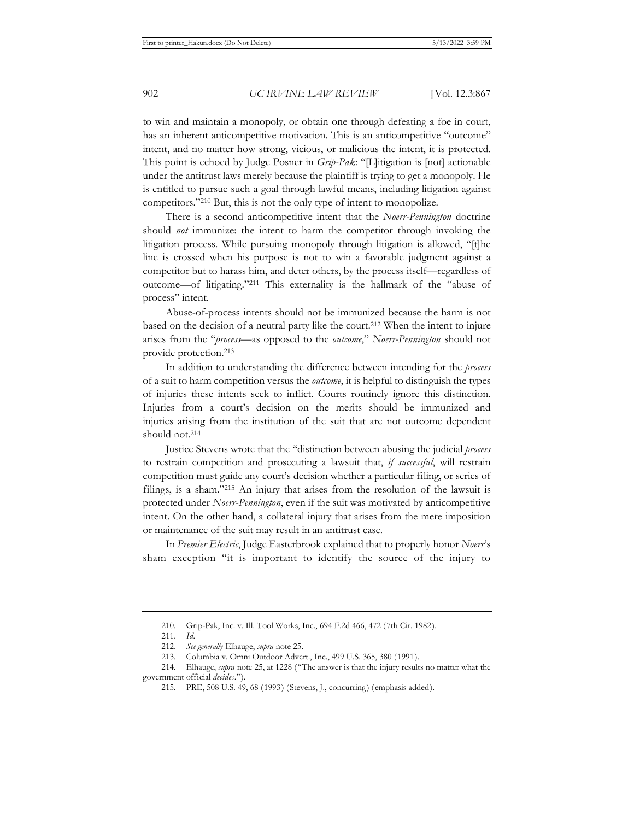to win and maintain a monopoly, or obtain one through defeating a foe in court, has an inherent anticompetitive motivation. This is an anticompetitive "outcome" intent, and no matter how strong, vicious, or malicious the intent, it is protected. This point is echoed by Judge Posner in *Grip-Pak*: "[L]itigation is [not] actionable under the antitrust laws merely because the plaintiff is trying to get a monopoly. He is entitled to pursue such a goal through lawful means, including litigation against competitors."210 But, this is not the only type of intent to monopolize.

There is a second anticompetitive intent that the *Noerr-Pennington* doctrine should *not* immunize: the intent to harm the competitor through invoking the litigation process. While pursuing monopoly through litigation is allowed, "[t]he line is crossed when his purpose is not to win a favorable judgment against a competitor but to harass him, and deter others, by the process itself—regardless of outcome—of litigating."211 This externality is the hallmark of the "abuse of process" intent.

Abuse-of-process intents should not be immunized because the harm is not based on the decision of a neutral party like the court.212 When the intent to injure arises from the "*process*—as opposed to the *outcome*," *Noerr-Pennington* should not provide protection.213

In addition to understanding the difference between intending for the *process*  of a suit to harm competition versus the *outcome*, it is helpful to distinguish the types of injuries these intents seek to inflict. Courts routinely ignore this distinction. Injuries from a court's decision on the merits should be immunized and injuries arising from the institution of the suit that are not outcome dependent should not.214

Justice Stevens wrote that the "distinction between abusing the judicial *process* to restrain competition and prosecuting a lawsuit that, *if successful*, will restrain competition must guide any court's decision whether a particular filing, or series of filings, is a sham."215 An injury that arises from the resolution of the lawsuit is protected under *Noerr-Pennington*, even if the suit was motivated by anticompetitive intent. On the other hand, a collateral injury that arises from the mere imposition or maintenance of the suit may result in an antitrust case.

In *Premier Electric*, Judge Easterbrook explained that to properly honor *Noerr*'s sham exception "it is important to identify the source of the injury to

<sup>210.</sup> Grip-Pak, Inc. v. Ill. Tool Works, Inc., 694 F.2d 466, 472 (7th Cir. 1982).

<sup>211.</sup> *Id.* 

<sup>212.</sup> *See generally* Elhauge, *supra* note 25.

<sup>213.</sup> Columbia v. Omni Outdoor Advert., Inc., 499 U.S. 365, 380 (1991).

<sup>214.</sup> Elhauge, *supra* note 25, at 1228 ("The answer is that the injury results no matter what the government official *decides*.").

<sup>215.</sup> PRE, 508 U.S. 49, 68 (1993) (Stevens, J., concurring) (emphasis added).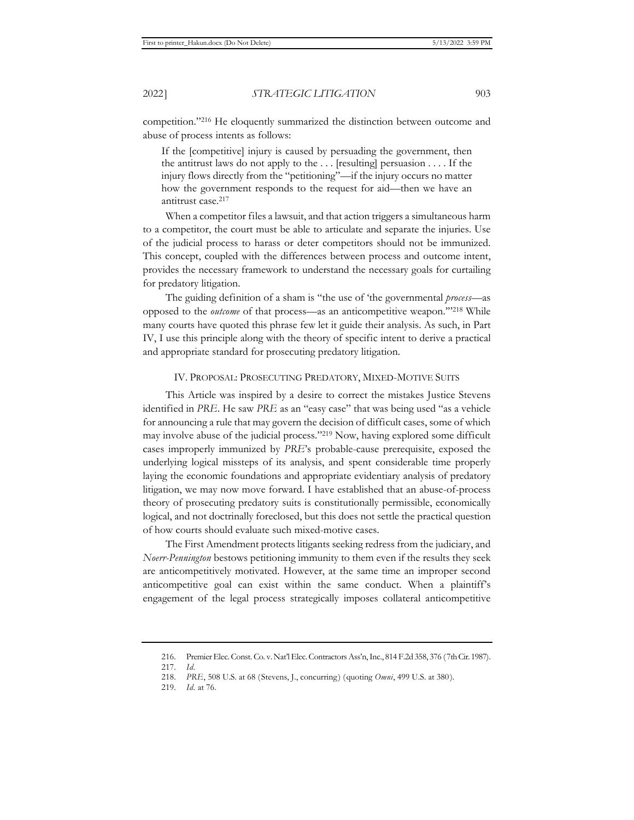competition."216 He eloquently summarized the distinction between outcome and abuse of process intents as follows:

If the [competitive] injury is caused by persuading the government, then the antitrust laws do not apply to the  $\dots$  [resulting] persuasion  $\dots$  If the injury flows directly from the "petitioning"—if the injury occurs no matter how the government responds to the request for aid—then we have an antitrust case.217

When a competitor files a lawsuit, and that action triggers a simultaneous harm to a competitor, the court must be able to articulate and separate the injuries. Use of the judicial process to harass or deter competitors should not be immunized. This concept, coupled with the differences between process and outcome intent, provides the necessary framework to understand the necessary goals for curtailing for predatory litigation.

The guiding definition of a sham is "the use of 'the governmental *process*—as opposed to the *outcome* of that process—as an anticompetitive weapon.'"218 While many courts have quoted this phrase few let it guide their analysis. As such, in Part IV, I use this principle along with the theory of specific intent to derive a practical and appropriate standard for prosecuting predatory litigation.

# IV. PROPOSAL: PROSECUTING PREDATORY, MIXED-MOTIVE SUITS

This Article was inspired by a desire to correct the mistakes Justice Stevens identified in *PRE*. He saw *PRE* as an "easy case" that was being used "as a vehicle for announcing a rule that may govern the decision of difficult cases, some of which may involve abuse of the judicial process."219 Now, having explored some difficult cases improperly immunized by *PRE*'s probable-cause prerequisite, exposed the underlying logical missteps of its analysis, and spent considerable time properly laying the economic foundations and appropriate evidentiary analysis of predatory litigation, we may now move forward. I have established that an abuse-of-process theory of prosecuting predatory suits is constitutionally permissible, economically logical, and not doctrinally foreclosed, but this does not settle the practical question of how courts should evaluate such mixed-motive cases.

The First Amendment protects litigants seeking redress from the judiciary, and *Noerr-Pennington* bestows petitioning immunity to them even if the results they seek are anticompetitively motivated. However, at the same time an improper second anticompetitive goal can exist within the same conduct. When a plaintiff's engagement of the legal process strategically imposes collateral anticompetitive

<sup>216.</sup> Premier Elec. Const. Co. v. Nat'l Elec. Contractors Ass'n, Inc., 814 F.2d 358, 376 (7th Cir. 1987).

<sup>217.</sup> *Id.*

<sup>218.</sup> *PRE*, 508 U.S. at 68 (Stevens, J., concurring) (quoting *Omni*, 499 U.S. at 380).

<sup>219.</sup> *Id.* at 76.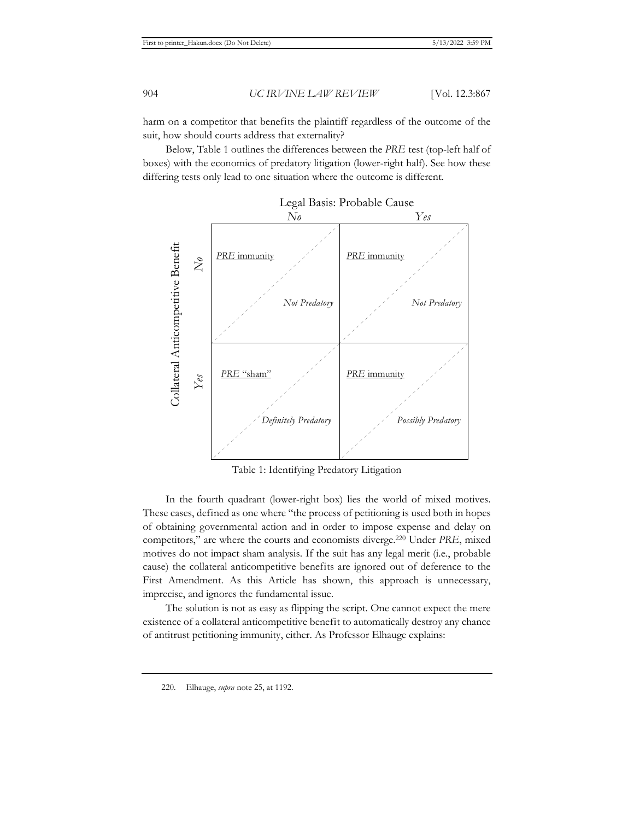harm on a competitor that benefits the plaintiff regardless of the outcome of the suit, how should courts address that externality?

Below, Table 1 outlines the differences between the *PRE* test (top-left half of boxes) with the economics of predatory litigation (lower-right half). See how these differing tests only lead to one situation where the outcome is different.



Table 1: Identifying Predatory Litigation

In the fourth quadrant (lower-right box) lies the world of mixed motives. These cases, defined as one where "the process of petitioning is used both in hopes of obtaining governmental action and in order to impose expense and delay on competitors," are where the courts and economists diverge.220 Under *PRE*, mixed motives do not impact sham analysis. If the suit has any legal merit (i.e., probable cause) the collateral anticompetitive benefits are ignored out of deference to the First Amendment. As this Article has shown, this approach is unnecessary, imprecise, and ignores the fundamental issue.

The solution is not as easy as flipping the script. One cannot expect the mere existence of a collateral anticompetitive benefit to automatically destroy any chance of antitrust petitioning immunity, either. As Professor Elhauge explains: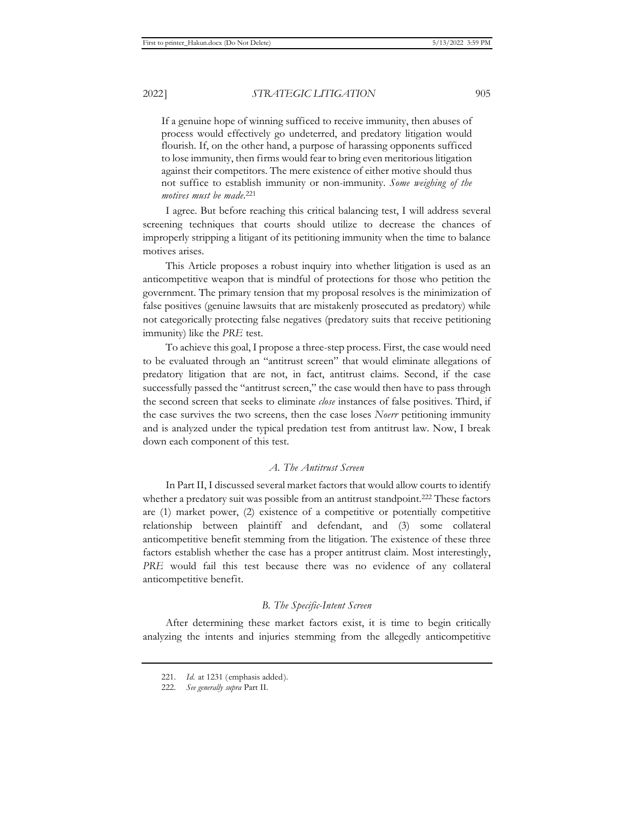If a genuine hope of winning sufficed to receive immunity, then abuses of process would effectively go undeterred, and predatory litigation would flourish. If, on the other hand, a purpose of harassing opponents sufficed to lose immunity, then firms would fear to bring even meritorious litigation against their competitors. The mere existence of either motive should thus not suffice to establish immunity or non-immunity. *Some weighing of the motives must be made*. 221

I agree. But before reaching this critical balancing test, I will address several screening techniques that courts should utilize to decrease the chances of improperly stripping a litigant of its petitioning immunity when the time to balance motives arises.

This Article proposes a robust inquiry into whether litigation is used as an anticompetitive weapon that is mindful of protections for those who petition the government. The primary tension that my proposal resolves is the minimization of false positives (genuine lawsuits that are mistakenly prosecuted as predatory) while not categorically protecting false negatives (predatory suits that receive petitioning immunity) like the *PRE* test.

To achieve this goal, I propose a three-step process. First, the case would need to be evaluated through an "antitrust screen" that would eliminate allegations of predatory litigation that are not, in fact, antitrust claims. Second, if the case successfully passed the "antitrust screen," the case would then have to pass through the second screen that seeks to eliminate *close* instances of false positives. Third, if the case survives the two screens, then the case loses *Noerr* petitioning immunity and is analyzed under the typical predation test from antitrust law. Now, I break down each component of this test.

# *A. The Antitrust Screen*

In Part II, I discussed several market factors that would allow courts to identify whether a predatory suit was possible from an antitrust standpoint.<sup>222</sup> These factors are (1) market power, (2) existence of a competitive or potentially competitive relationship between plaintiff and defendant, and (3) some collateral anticompetitive benefit stemming from the litigation. The existence of these three factors establish whether the case has a proper antitrust claim. Most interestingly, *PRE* would fail this test because there was no evidence of any collateral anticompetitive benefit.

# *B. The Specific-Intent Screen*

After determining these market factors exist, it is time to begin critically analyzing the intents and injuries stemming from the allegedly anticompetitive

<sup>221.</sup> *Id.* at 1231 (emphasis added).

<sup>222.</sup> *See generally supra* Part II.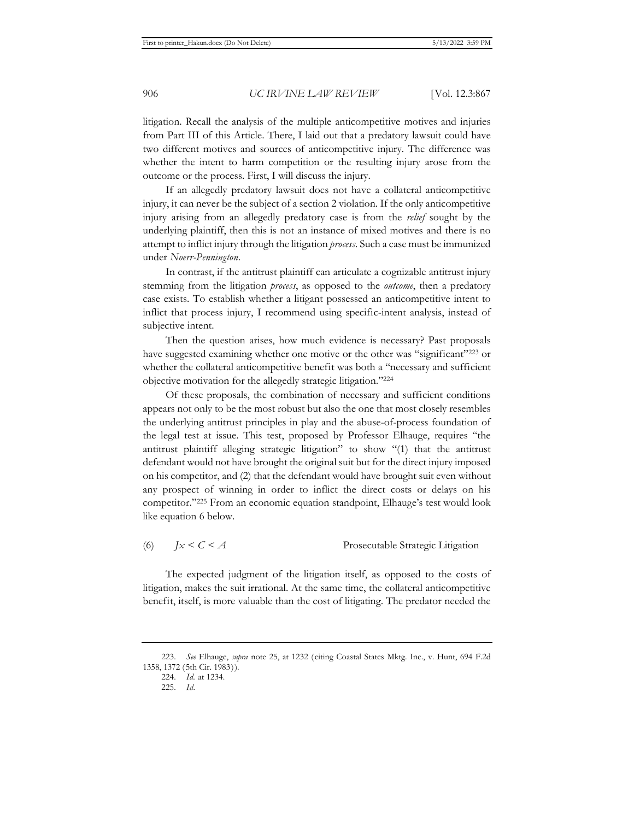litigation. Recall the analysis of the multiple anticompetitive motives and injuries from Part III of this Article. There, I laid out that a predatory lawsuit could have two different motives and sources of anticompetitive injury. The difference was whether the intent to harm competition or the resulting injury arose from the outcome or the process. First, I will discuss the injury.

If an allegedly predatory lawsuit does not have a collateral anticompetitive injury, it can never be the subject of a section 2 violation. If the only anticompetitive injury arising from an allegedly predatory case is from the *relief* sought by the underlying plaintiff, then this is not an instance of mixed motives and there is no attempt to inflict injury through the litigation *process*. Such a case must be immunized under *Noerr-Pennington*.

In contrast, if the antitrust plaintiff can articulate a cognizable antitrust injury stemming from the litigation *process*, as opposed to the *outcome*, then a predatory case exists. To establish whether a litigant possessed an anticompetitive intent to inflict that process injury, I recommend using specific-intent analysis, instead of subjective intent.

Then the question arises, how much evidence is necessary? Past proposals have suggested examining whether one motive or the other was "significant"<sup>223</sup> or whether the collateral anticompetitive benefit was both a "necessary and sufficient objective motivation for the allegedly strategic litigation."224

Of these proposals, the combination of necessary and sufficient conditions appears not only to be the most robust but also the one that most closely resembles the underlying antitrust principles in play and the abuse-of-process foundation of the legal test at issue. This test, proposed by Professor Elhauge, requires "the antitrust plaintiff alleging strategic litigation" to show "(1) that the antitrust defendant would not have brought the original suit but for the direct injury imposed on his competitor, and (2) that the defendant would have brought suit even without any prospect of winning in order to inflict the direct costs or delays on his competitor."225 From an economic equation standpoint, Elhauge's test would look like equation 6 below.

(6) *Jx < C < A* Prosecutable Strategic Litigation

The expected judgment of the litigation itself, as opposed to the costs of litigation, makes the suit irrational. At the same time, the collateral anticompetitive benefit, itself, is more valuable than the cost of litigating. The predator needed the

<sup>223.</sup> *See* Elhauge, *supra* note 25, at 1232 (citing Coastal States Mktg. Inc., v. Hunt, 694 F.2d 1358, 1372 (5th Cir. 1983)).

<sup>224.</sup> *Id.* at 1234.

<sup>225.</sup> *Id.*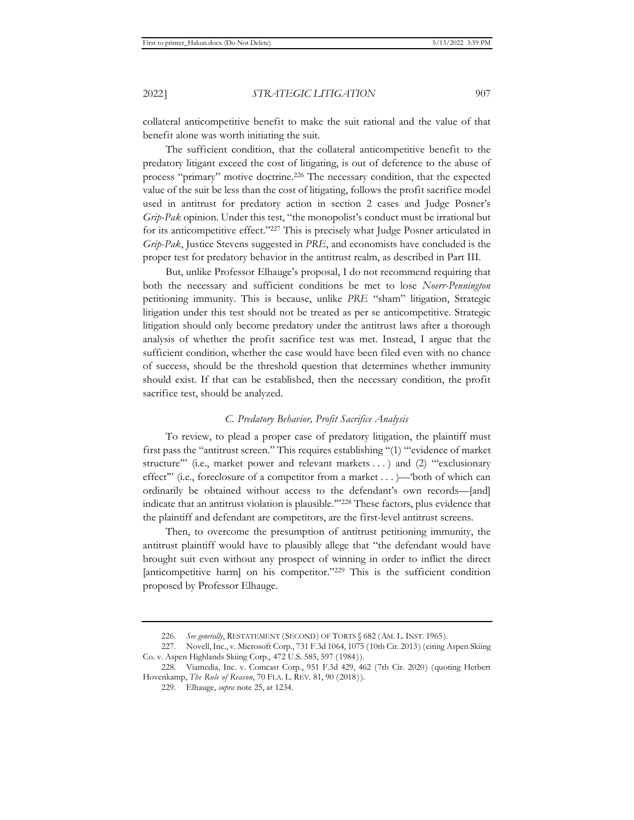collateral anticompetitive benefit to make the suit rational and the value of that benefit alone was worth initiating the suit.

The sufficient condition, that the collateral anticompetitive benefit to the predatory litigant exceed the cost of litigating, is out of deference to the abuse of process "primary" motive doctrine.226 The necessary condition, that the expected value of the suit be less than the cost of litigating, follows the profit sacrifice model used in antitrust for predatory action in section 2 cases and Judge Posner's *Grip-Pak* opinion. Under this test, "the monopolist's conduct must be irrational but for its anticompetitive effect."227 This is precisely what Judge Posner articulated in *Grip-Pak*, Justice Stevens suggested in *PRE*, and economists have concluded is the proper test for predatory behavior in the antitrust realm, as described in Part III.

But, unlike Professor Elhauge's proposal, I do not recommend requiring that both the necessary and sufficient conditions be met to lose *Noerr-Pennington*  petitioning immunity. This is because, unlike *PRE* "sham" litigation, Strategic litigation under this test should not be treated as per se anticompetitive. Strategic litigation should only become predatory under the antitrust laws after a thorough analysis of whether the profit sacrifice test was met. Instead, I argue that the sufficient condition, whether the case would have been filed even with no chance of success, should be the threshold question that determines whether immunity should exist. If that can be established, then the necessary condition, the profit sacrifice test, should be analyzed.

## *C. Predatory Behavior, Profit Sacrifice Analysis*

To review, to plead a proper case of predatory litigation, the plaintiff must first pass the "antitrust screen." This requires establishing "(1) "'evidence of market structure'" (i.e., market power and relevant markets . . . ) and (2) "'exclusionary effect'" (i.e., foreclosure of a competitor from a market . . . )—'both of which can ordinarily be obtained without access to the defendant's own records—[and] indicate that an antitrust violation is plausible.'"228 These factors, plus evidence that the plaintiff and defendant are competitors, are the first-level antitrust screens.

Then, to overcome the presumption of antitrust petitioning immunity, the antitrust plaintiff would have to plausibly allege that "the defendant would have brought suit even without any prospect of winning in order to inflict the direct [anticompetitive harm] on his competitor."<sup>229</sup> This is the sufficient condition proposed by Professor Elhauge.

<sup>226.</sup> *See generally*, RESTATEMENT (SECOND) OF TORTS § 682 (AM. L. INST. 1965).

<sup>227.</sup> Novell, Inc., v. Microsoft Corp., 731 F.3d 1064, 1075 (10th Cir. 2013) (citing Aspen Skiing Co. v. Aspen Highlands Skiing Corp., 472 U.S. 585, 597 (1984)).

<sup>228.</sup> Viamedia, Inc. v. Comcast Corp., 951 F.3d 429, 462 (7th Cir. 2020) (quoting Herbert Hovenkamp, *The Rule of Reason*, 70 FLA. L. REV. 81, 90 (2018)).

<sup>229.</sup> Elhauge, *supra* note 25, at 1234.